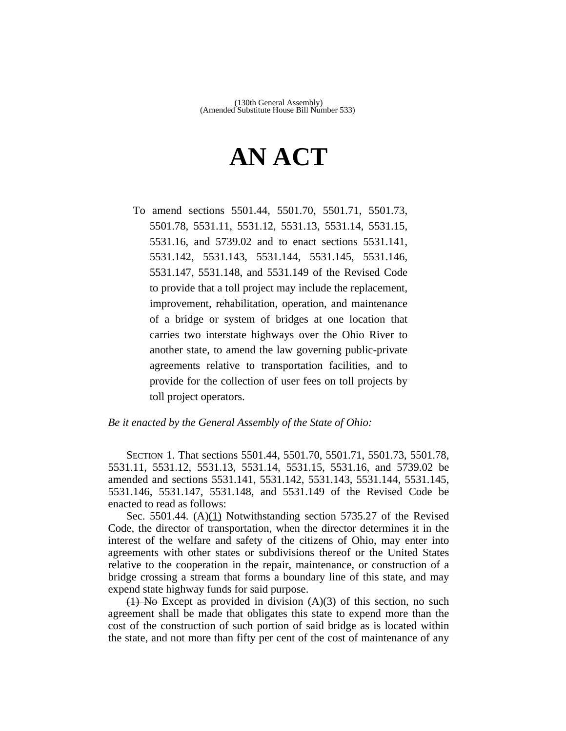## **AN ACT**

To amend sections 5501.44, 5501.70, 5501.71, 5501.73, 5501.78, 5531.11, 5531.12, 5531.13, 5531.14, 5531.15, 5531.16, and 5739.02 and to enact sections 5531.141, 5531.142, 5531.143, 5531.144, 5531.145, 5531.146, 5531.147, 5531.148, and 5531.149 of the Revised Code to provide that a toll project may include the replacement, improvement, rehabilitation, operation, and maintenance of a bridge or system of bridges at one location that carries two interstate highways over the Ohio River to another state, to amend the law governing public-private agreements relative to transportation facilities, and to provide for the collection of user fees on toll projects by toll project operators.

## *Be it enacted by the General Assembly of the State of Ohio:*

SECTION 1. That sections 5501.44, 5501.70, 5501.71, 5501.73, 5501.78, 5531.11, 5531.12, 5531.13, 5531.14, 5531.15, 5531.16, and 5739.02 be amended and sections 5531.141, 5531.142, 5531.143, 5531.144, 5531.145, 5531.146, 5531.147, 5531.148, and 5531.149 of the Revised Code be enacted to read as follows:

Sec. 5501.44.  $(A)(1)$  Notwithstanding section 5735.27 of the Revised Code, the director of transportation, when the director determines it in the interest of the welfare and safety of the citizens of Ohio, may enter into agreements with other states or subdivisions thereof or the United States relative to the cooperation in the repair, maintenance, or construction of a bridge crossing a stream that forms a boundary line of this state, and may expend state highway funds for said purpose.

 $(1)$  No Except as provided in division  $(A)(3)$  of this section, no such agreement shall be made that obligates this state to expend more than the cost of the construction of such portion of said bridge as is located within the state, and not more than fifty per cent of the cost of maintenance of any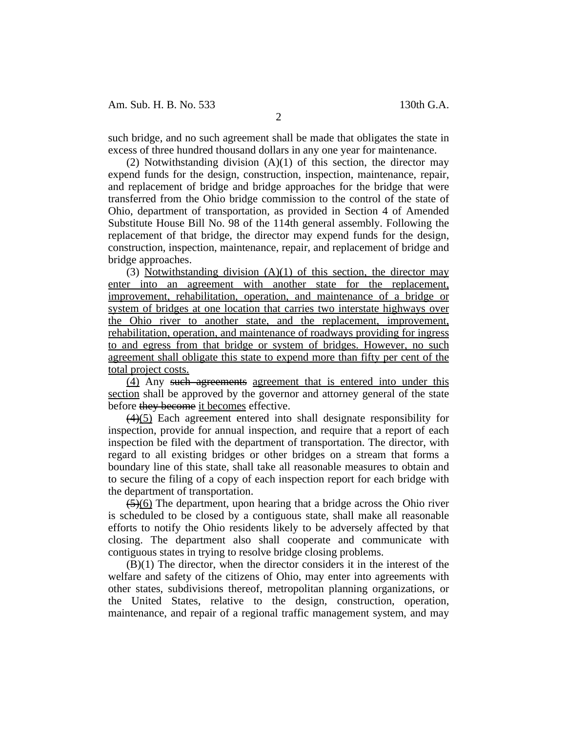Am. Sub. H. B. No. 533 130th G.A.

such bridge, and no such agreement shall be made that obligates the state in excess of three hundred thousand dollars in any one year for maintenance.

(2) Notwithstanding division  $(A)(1)$  of this section, the director may expend funds for the design, construction, inspection, maintenance, repair, and replacement of bridge and bridge approaches for the bridge that were transferred from the Ohio bridge commission to the control of the state of Ohio, department of transportation, as provided in Section 4 of Amended Substitute House Bill No. 98 of the 114th general assembly. Following the replacement of that bridge, the director may expend funds for the design, construction, inspection, maintenance, repair, and replacement of bridge and bridge approaches.

(3) Notwithstanding division  $(A)(1)$  of this section, the director may enter into an agreement with another state for the replacement, improvement, rehabilitation, operation, and maintenance of a bridge or system of bridges at one location that carries two interstate highways over the Ohio river to another state, and the replacement, improvement, rehabilitation, operation, and maintenance of roadways providing for ingress to and egress from that bridge or system of bridges. However, no such agreement shall obligate this state to expend more than fifty per cent of the total project costs.

(4) Any such agreements agreement that is entered into under this section shall be approved by the governor and attorney general of the state before they become it becomes effective.

(4)(5) Each agreement entered into shall designate responsibility for inspection, provide for annual inspection, and require that a report of each inspection be filed with the department of transportation. The director, with regard to all existing bridges or other bridges on a stream that forms a boundary line of this state, shall take all reasonable measures to obtain and to secure the filing of a copy of each inspection report for each bridge with the department of transportation.

 $\left(\frac{5}{6}\right)$  The department, upon hearing that a bridge across the Ohio river is scheduled to be closed by a contiguous state, shall make all reasonable efforts to notify the Ohio residents likely to be adversely affected by that closing. The department also shall cooperate and communicate with contiguous states in trying to resolve bridge closing problems.

(B)(1) The director, when the director considers it in the interest of the welfare and safety of the citizens of Ohio, may enter into agreements with other states, subdivisions thereof, metropolitan planning organizations, or the United States, relative to the design, construction, operation, maintenance, and repair of a regional traffic management system, and may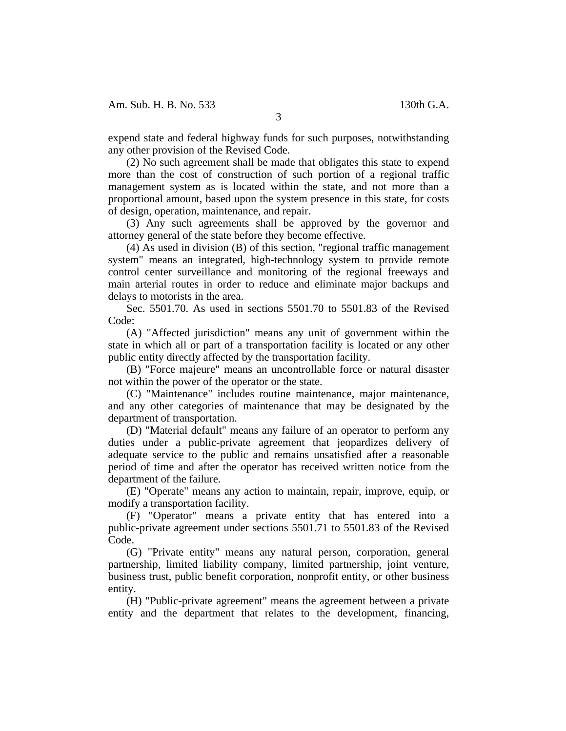expend state and federal highway funds for such purposes, notwithstanding any other provision of the Revised Code.

(2) No such agreement shall be made that obligates this state to expend more than the cost of construction of such portion of a regional traffic management system as is located within the state, and not more than a proportional amount, based upon the system presence in this state, for costs of design, operation, maintenance, and repair.

(3) Any such agreements shall be approved by the governor and attorney general of the state before they become effective.

(4) As used in division (B) of this section, "regional traffic management system" means an integrated, high-technology system to provide remote control center surveillance and monitoring of the regional freeways and main arterial routes in order to reduce and eliminate major backups and delays to motorists in the area.

Sec. 5501.70. As used in sections 5501.70 to 5501.83 of the Revised Code:

(A) "Affected jurisdiction" means any unit of government within the state in which all or part of a transportation facility is located or any other public entity directly affected by the transportation facility.

(B) "Force majeure" means an uncontrollable force or natural disaster not within the power of the operator or the state.

(C) "Maintenance" includes routine maintenance, major maintenance, and any other categories of maintenance that may be designated by the department of transportation.

(D) "Material default" means any failure of an operator to perform any duties under a public-private agreement that jeopardizes delivery of adequate service to the public and remains unsatisfied after a reasonable period of time and after the operator has received written notice from the department of the failure.

(E) "Operate" means any action to maintain, repair, improve, equip, or modify a transportation facility.

(F) "Operator" means a private entity that has entered into a public-private agreement under sections 5501.71 to 5501.83 of the Revised Code.

(G) "Private entity" means any natural person, corporation, general partnership, limited liability company, limited partnership, joint venture, business trust, public benefit corporation, nonprofit entity, or other business entity.

(H) "Public-private agreement" means the agreement between a private entity and the department that relates to the development, financing,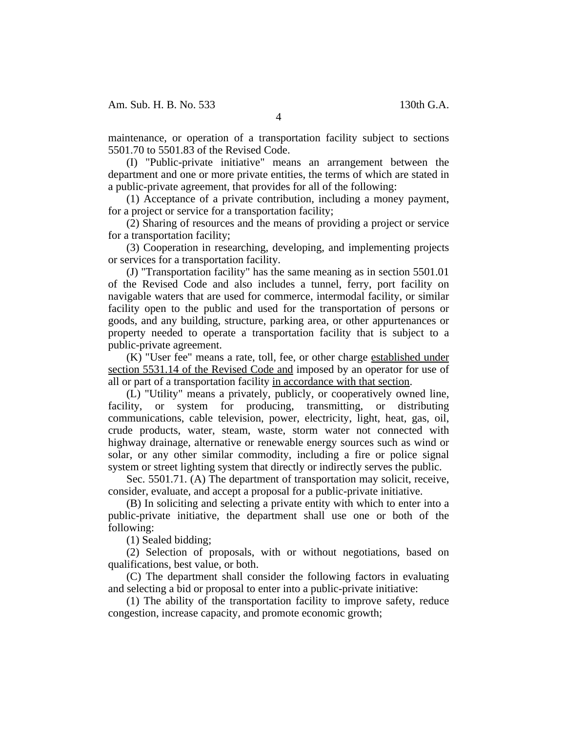maintenance, or operation of a transportation facility subject to sections 5501.70 to 5501.83 of the Revised Code.

(I) "Public-private initiative" means an arrangement between the department and one or more private entities, the terms of which are stated in a public-private agreement, that provides for all of the following:

(1) Acceptance of a private contribution, including a money payment, for a project or service for a transportation facility;

(2) Sharing of resources and the means of providing a project or service for a transportation facility;

(3) Cooperation in researching, developing, and implementing projects or services for a transportation facility.

(J) "Transportation facility" has the same meaning as in section 5501.01 of the Revised Code and also includes a tunnel, ferry, port facility on navigable waters that are used for commerce, intermodal facility, or similar facility open to the public and used for the transportation of persons or goods, and any building, structure, parking area, or other appurtenances or property needed to operate a transportation facility that is subject to a public-private agreement.

(K) "User fee" means a rate, toll, fee, or other charge established under section 5531.14 of the Revised Code and imposed by an operator for use of all or part of a transportation facility in accordance with that section.

(L) "Utility" means a privately, publicly, or cooperatively owned line, facility, or system for producing, transmitting, or distributing communications, cable television, power, electricity, light, heat, gas, oil, crude products, water, steam, waste, storm water not connected with highway drainage, alternative or renewable energy sources such as wind or solar, or any other similar commodity, including a fire or police signal system or street lighting system that directly or indirectly serves the public.

Sec. 5501.71. (A) The department of transportation may solicit, receive, consider, evaluate, and accept a proposal for a public-private initiative.

(B) In soliciting and selecting a private entity with which to enter into a public-private initiative, the department shall use one or both of the following:

(1) Sealed bidding;

(2) Selection of proposals, with or without negotiations, based on qualifications, best value, or both.

(C) The department shall consider the following factors in evaluating and selecting a bid or proposal to enter into a public-private initiative:

(1) The ability of the transportation facility to improve safety, reduce congestion, increase capacity, and promote economic growth;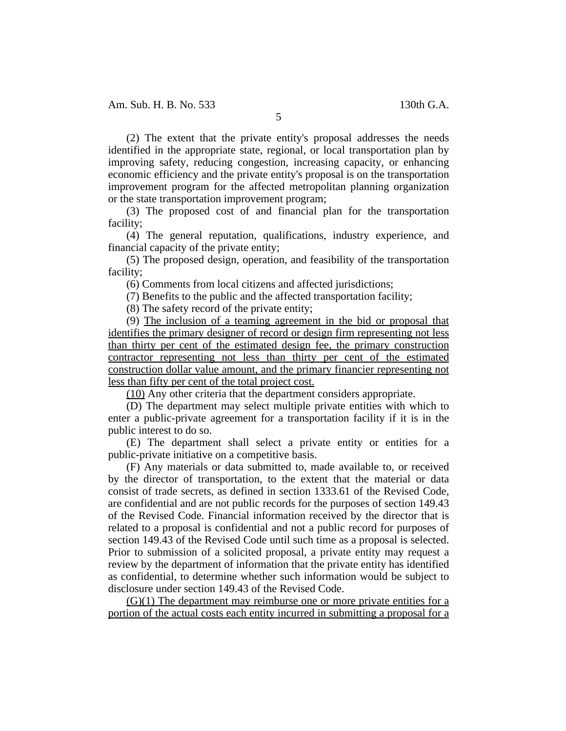(2) The extent that the private entity's proposal addresses the needs identified in the appropriate state, regional, or local transportation plan by improving safety, reducing congestion, increasing capacity, or enhancing economic efficiency and the private entity's proposal is on the transportation improvement program for the affected metropolitan planning organization or the state transportation improvement program;

(3) The proposed cost of and financial plan for the transportation facility;

(4) The general reputation, qualifications, industry experience, and financial capacity of the private entity;

(5) The proposed design, operation, and feasibility of the transportation facility;

(6) Comments from local citizens and affected jurisdictions;

(7) Benefits to the public and the affected transportation facility;

(8) The safety record of the private entity;

(9) The inclusion of a teaming agreement in the bid or proposal that identifies the primary designer of record or design firm representing not less than thirty per cent of the estimated design fee, the primary construction contractor representing not less than thirty per cent of the estimated construction dollar value amount, and the primary financier representing not less than fifty per cent of the total project cost.

(10) Any other criteria that the department considers appropriate.

(D) The department may select multiple private entities with which to enter a public-private agreement for a transportation facility if it is in the public interest to do so.

(E) The department shall select a private entity or entities for a public-private initiative on a competitive basis.

(F) Any materials or data submitted to, made available to, or received by the director of transportation, to the extent that the material or data consist of trade secrets, as defined in section 1333.61 of the Revised Code, are confidential and are not public records for the purposes of section 149.43 of the Revised Code. Financial information received by the director that is related to a proposal is confidential and not a public record for purposes of section 149.43 of the Revised Code until such time as a proposal is selected. Prior to submission of a solicited proposal, a private entity may request a review by the department of information that the private entity has identified as confidential, to determine whether such information would be subject to disclosure under section 149.43 of the Revised Code.

 $(G)(1)$  The department may reimburse one or more private entities for a portion of the actual costs each entity incurred in submitting a proposal for a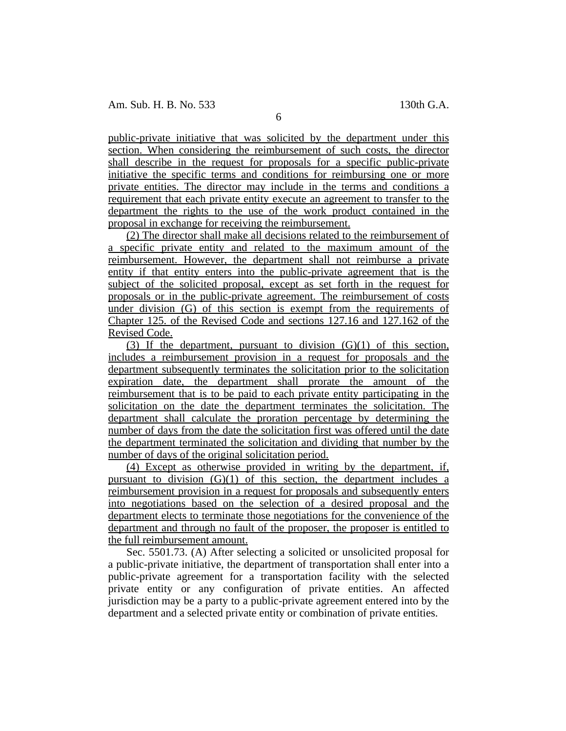public-private initiative that was solicited by the department under this section. When considering the reimbursement of such costs, the director shall describe in the request for proposals for a specific public-private initiative the specific terms and conditions for reimbursing one or more private entities. The director may include in the terms and conditions a requirement that each private entity execute an agreement to transfer to the department the rights to the use of the work product contained in the proposal in exchange for receiving the reimbursement.

(2) The director shall make all decisions related to the reimbursement of a specific private entity and related to the maximum amount of the reimbursement. However, the department shall not reimburse a private entity if that entity enters into the public-private agreement that is the subject of the solicited proposal, except as set forth in the request for proposals or in the public-private agreement. The reimbursement of costs under division (G) of this section is exempt from the requirements of Chapter 125. of the Revised Code and sections 127.16 and 127.162 of the Revised Code.

(3) If the department, pursuant to division  $(G)(1)$  of this section, includes a reimbursement provision in a request for proposals and the department subsequently terminates the solicitation prior to the solicitation expiration date, the department shall prorate the amount of the reimbursement that is to be paid to each private entity participating in the solicitation on the date the department terminates the solicitation. The department shall calculate the proration percentage by determining the number of days from the date the solicitation first was offered until the date the department terminated the solicitation and dividing that number by the number of days of the original solicitation period.

(4) Except as otherwise provided in writing by the department, if, pursuant to division (G)(1) of this section, the department includes a reimbursement provision in a request for proposals and subsequently enters into negotiations based on the selection of a desired proposal and the department elects to terminate those negotiations for the convenience of the department and through no fault of the proposer, the proposer is entitled to the full reimbursement amount.

Sec. 5501.73. (A) After selecting a solicited or unsolicited proposal for a public-private initiative, the department of transportation shall enter into a public-private agreement for a transportation facility with the selected private entity or any configuration of private entities. An affected jurisdiction may be a party to a public-private agreement entered into by the department and a selected private entity or combination of private entities.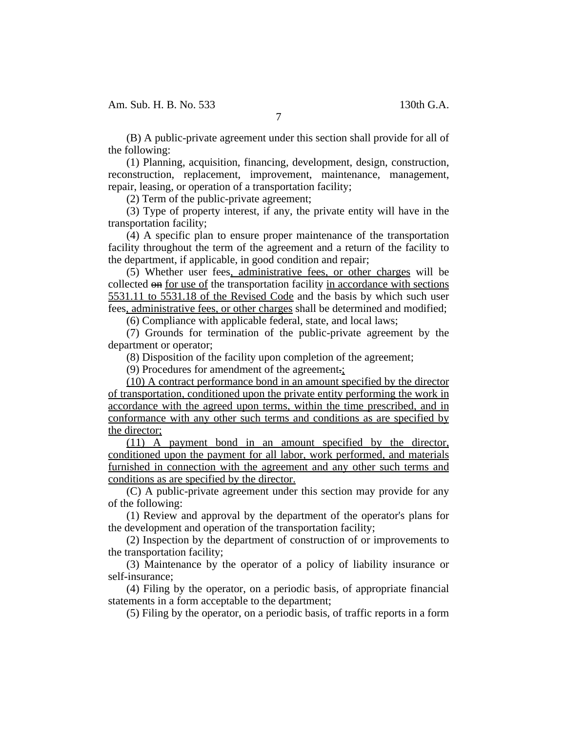(B) A public-private agreement under this section shall provide for all of the following:

7

(1) Planning, acquisition, financing, development, design, construction, reconstruction, replacement, improvement, maintenance, management, repair, leasing, or operation of a transportation facility;

(2) Term of the public-private agreement;

(3) Type of property interest, if any, the private entity will have in the transportation facility;

(4) A specific plan to ensure proper maintenance of the transportation facility throughout the term of the agreement and a return of the facility to the department, if applicable, in good condition and repair;

(5) Whether user fees, administrative fees, or other charges will be collected on for use of the transportation facility in accordance with sections 5531.11 to 5531.18 of the Revised Code and the basis by which such user fees, administrative fees, or other charges shall be determined and modified;

(6) Compliance with applicable federal, state, and local laws;

(7) Grounds for termination of the public-private agreement by the department or operator;

(8) Disposition of the facility upon completion of the agreement;

(9) Procedures for amendment of the agreement.;

(10) A contract performance bond in an amount specified by the director of transportation, conditioned upon the private entity performing the work in accordance with the agreed upon terms, within the time prescribed, and in conformance with any other such terms and conditions as are specified by the director;

(11) A payment bond in an amount specified by the director, conditioned upon the payment for all labor, work performed, and materials furnished in connection with the agreement and any other such terms and conditions as are specified by the director.

(C) A public-private agreement under this section may provide for any of the following:

(1) Review and approval by the department of the operator's plans for the development and operation of the transportation facility;

(2) Inspection by the department of construction of or improvements to the transportation facility;

(3) Maintenance by the operator of a policy of liability insurance or self-insurance;

(4) Filing by the operator, on a periodic basis, of appropriate financial statements in a form acceptable to the department;

(5) Filing by the operator, on a periodic basis, of traffic reports in a form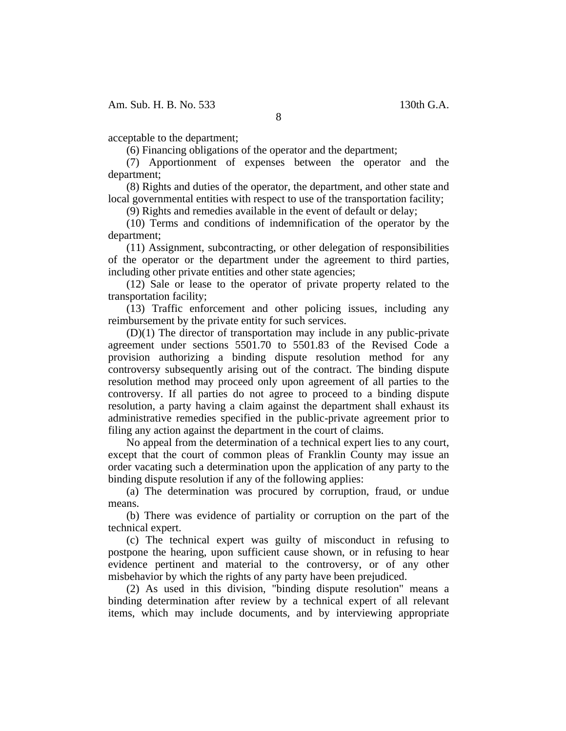acceptable to the department;

(6) Financing obligations of the operator and the department;

(7) Apportionment of expenses between the operator and the department;

(8) Rights and duties of the operator, the department, and other state and local governmental entities with respect to use of the transportation facility;

(9) Rights and remedies available in the event of default or delay;

(10) Terms and conditions of indemnification of the operator by the department;

(11) Assignment, subcontracting, or other delegation of responsibilities of the operator or the department under the agreement to third parties, including other private entities and other state agencies;

(12) Sale or lease to the operator of private property related to the transportation facility;

(13) Traffic enforcement and other policing issues, including any reimbursement by the private entity for such services.

(D)(1) The director of transportation may include in any public-private agreement under sections 5501.70 to 5501.83 of the Revised Code a provision authorizing a binding dispute resolution method for any controversy subsequently arising out of the contract. The binding dispute resolution method may proceed only upon agreement of all parties to the controversy. If all parties do not agree to proceed to a binding dispute resolution, a party having a claim against the department shall exhaust its administrative remedies specified in the public-private agreement prior to filing any action against the department in the court of claims.

No appeal from the determination of a technical expert lies to any court, except that the court of common pleas of Franklin County may issue an order vacating such a determination upon the application of any party to the binding dispute resolution if any of the following applies:

(a) The determination was procured by corruption, fraud, or undue means.

(b) There was evidence of partiality or corruption on the part of the technical expert.

(c) The technical expert was guilty of misconduct in refusing to postpone the hearing, upon sufficient cause shown, or in refusing to hear evidence pertinent and material to the controversy, or of any other misbehavior by which the rights of any party have been prejudiced.

(2) As used in this division, "binding dispute resolution" means a binding determination after review by a technical expert of all relevant items, which may include documents, and by interviewing appropriate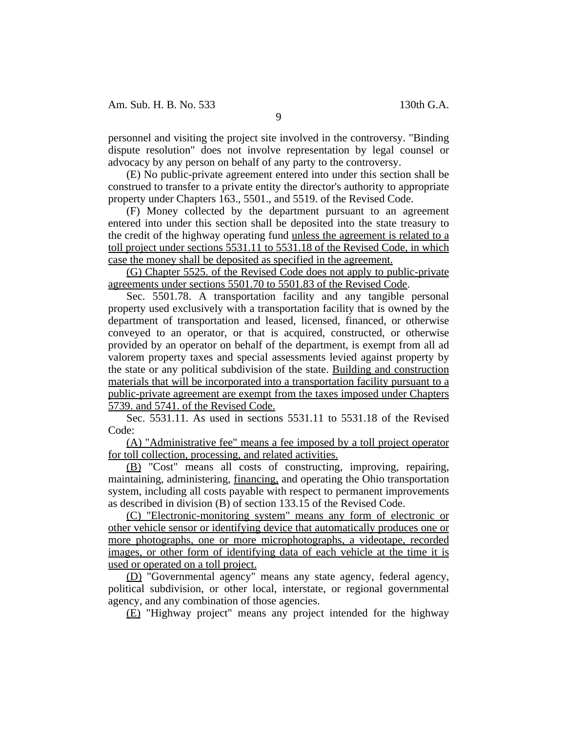personnel and visiting the project site involved in the controversy. "Binding dispute resolution" does not involve representation by legal counsel or advocacy by any person on behalf of any party to the controversy.

(E) No public-private agreement entered into under this section shall be construed to transfer to a private entity the director's authority to appropriate property under Chapters 163., 5501., and 5519. of the Revised Code.

(F) Money collected by the department pursuant to an agreement entered into under this section shall be deposited into the state treasury to the credit of the highway operating fund unless the agreement is related to a toll project under sections 5531.11 to 5531.18 of the Revised Code, in which case the money shall be deposited as specified in the agreement.

(G) Chapter 5525. of the Revised Code does not apply to public-private agreements under sections 5501.70 to 5501.83 of the Revised Code.

Sec. 5501.78. A transportation facility and any tangible personal property used exclusively with a transportation facility that is owned by the department of transportation and leased, licensed, financed, or otherwise conveyed to an operator, or that is acquired, constructed, or otherwise provided by an operator on behalf of the department, is exempt from all ad valorem property taxes and special assessments levied against property by the state or any political subdivision of the state. Building and construction materials that will be incorporated into a transportation facility pursuant to a public-private agreement are exempt from the taxes imposed under Chapters 5739. and 5741. of the Revised Code.

Sec. 5531.11. As used in sections 5531.11 to 5531.18 of the Revised Code:

(A) "Administrative fee" means a fee imposed by a toll project operator for toll collection, processing, and related activities.

(B) "Cost" means all costs of constructing, improving, repairing, maintaining, administering, financing, and operating the Ohio transportation system, including all costs payable with respect to permanent improvements as described in division (B) of section 133.15 of the Revised Code.

(C) "Electronic-monitoring system" means any form of electronic or other vehicle sensor or identifying device that automatically produces one or more photographs, one or more microphotographs, a videotape, recorded images, or other form of identifying data of each vehicle at the time it is used or operated on a toll project.

(D) "Governmental agency" means any state agency, federal agency, political subdivision, or other local, interstate, or regional governmental agency, and any combination of those agencies.

(E) "Highway project" means any project intended for the highway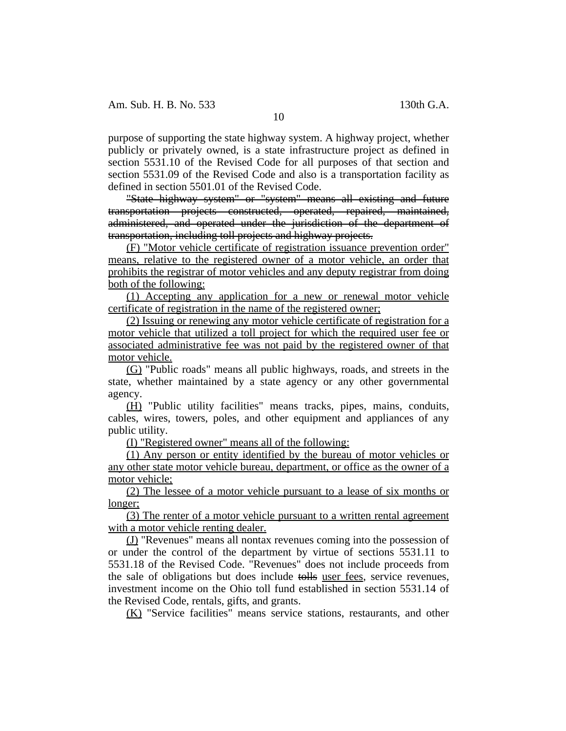purpose of supporting the state highway system. A highway project, whether publicly or privately owned, is a state infrastructure project as defined in section 5531.10 of the Revised Code for all purposes of that section and section 5531.09 of the Revised Code and also is a transportation facility as defined in section 5501.01 of the Revised Code.

"State highway system" or "system" means all existing and future transportation projects constructed, operated, repaired, maintained, administered, and operated under the jurisdiction of the department of transportation, including toll projects and highway projects.

(F) "Motor vehicle certificate of registration issuance prevention order" means, relative to the registered owner of a motor vehicle, an order that prohibits the registrar of motor vehicles and any deputy registrar from doing both of the following:

(1) Accepting any application for a new or renewal motor vehicle certificate of registration in the name of the registered owner;

(2) Issuing or renewing any motor vehicle certificate of registration for a motor vehicle that utilized a toll project for which the required user fee or associated administrative fee was not paid by the registered owner of that motor vehicle.

(G) "Public roads" means all public highways, roads, and streets in the state, whether maintained by a state agency or any other governmental agency.

(H) "Public utility facilities" means tracks, pipes, mains, conduits, cables, wires, towers, poles, and other equipment and appliances of any public utility.

(I) "Registered owner" means all of the following:

(1) Any person or entity identified by the bureau of motor vehicles or any other state motor vehicle bureau, department, or office as the owner of a motor vehicle;

(2) The lessee of a motor vehicle pursuant to a lease of six months or longer;

(3) The renter of a motor vehicle pursuant to a written rental agreement with a motor vehicle renting dealer.

(J) "Revenues" means all nontax revenues coming into the possession of or under the control of the department by virtue of sections 5531.11 to 5531.18 of the Revised Code. "Revenues" does not include proceeds from the sale of obligations but does include tolls user fees, service revenues, investment income on the Ohio toll fund established in section 5531.14 of the Revised Code, rentals, gifts, and grants.

(K) "Service facilities" means service stations, restaurants, and other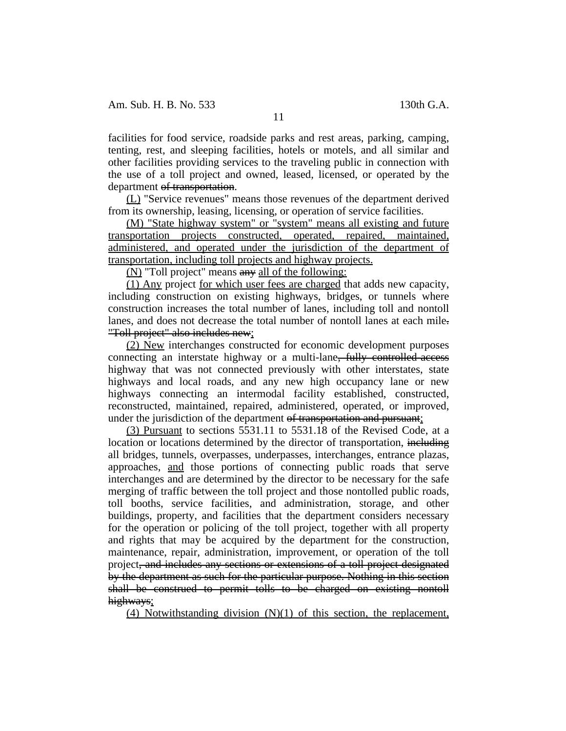facilities for food service, roadside parks and rest areas, parking, camping, tenting, rest, and sleeping facilities, hotels or motels, and all similar and other facilities providing services to the traveling public in connection with the use of a toll project and owned, leased, licensed, or operated by the department of transportation.

(L) "Service revenues" means those revenues of the department derived from its ownership, leasing, licensing, or operation of service facilities.

(M) "State highway system" or "system" means all existing and future transportation projects constructed, operated, repaired, maintained, administered, and operated under the jurisdiction of the department of transportation, including toll projects and highway projects.

(N) "Toll project" means any all of the following:

(1) Any project for which user fees are charged that adds new capacity, including construction on existing highways, bridges, or tunnels where construction increases the total number of lanes, including toll and nontoll lanes, and does not decrease the total number of nontoll lanes at each mile. "Toll project" also includes new;

(2) New interchanges constructed for economic development purposes connecting an interstate highway or a multi-lane. **fully controlled-access** highway that was not connected previously with other interstates, state highways and local roads, and any new high occupancy lane or new highways connecting an intermodal facility established, constructed, reconstructed, maintained, repaired, administered, operated, or improved, under the jurisdiction of the department of transportation and pursuant;

(3) Pursuant to sections 5531.11 to 5531.18 of the Revised Code, at a location or locations determined by the director of transportation, including all bridges, tunnels, overpasses, underpasses, interchanges, entrance plazas, approaches, and those portions of connecting public roads that serve interchanges and are determined by the director to be necessary for the safe merging of traffic between the toll project and those nontolled public roads, toll booths, service facilities, and administration, storage, and other buildings, property, and facilities that the department considers necessary for the operation or policing of the toll project, together with all property and rights that may be acquired by the department for the construction, maintenance, repair, administration, improvement, or operation of the toll project, and includes any sections or extensions of a toll project designated by the department as such for the particular purpose. Nothing in this section shall be construed to permit tolls to be charged on existing nontoll highways;

(4) Notwithstanding division (N)(1) of this section, the replacement,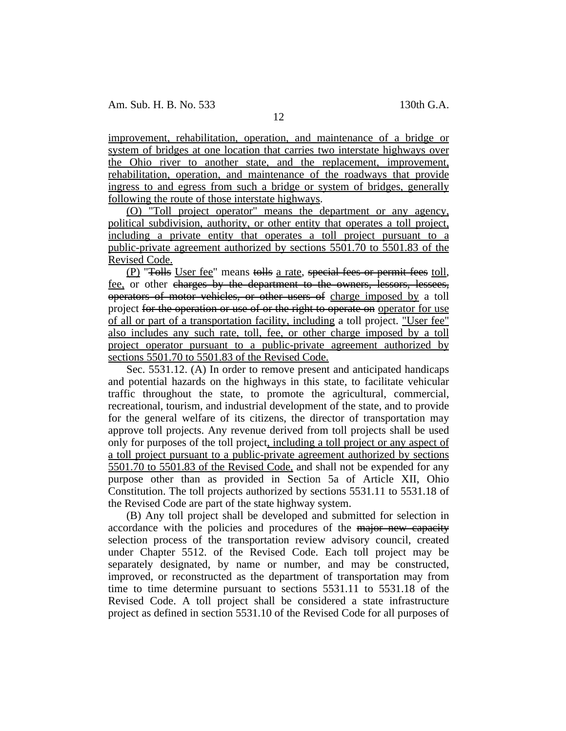improvement, rehabilitation, operation, and maintenance of a bridge or system of bridges at one location that carries two interstate highways over the Ohio river to another state, and the replacement, improvement, rehabilitation, operation, and maintenance of the roadways that provide ingress to and egress from such a bridge or system of bridges, generally following the route of those interstate highways.

(O) "Toll project operator" means the department or any agency, political subdivision, authority, or other entity that operates a toll project, including a private entity that operates a toll project pursuant to a public-private agreement authorized by sections 5501.70 to 5501.83 of the Revised Code.

(P) "Tolls User fee" means tolls a rate, special fees or permit fees toll, fee, or other charges by the department to the owners, lessors, lessees, operators of motor vehicles, or other users of charge imposed by a toll project for the operation or use of or the right to operate on operator for use of all or part of a transportation facility, including a toll project. "User fee" also includes any such rate, toll, fee, or other charge imposed by a toll project operator pursuant to a public-private agreement authorized by sections 5501.70 to 5501.83 of the Revised Code.

Sec. 5531.12. (A) In order to remove present and anticipated handicaps and potential hazards on the highways in this state, to facilitate vehicular traffic throughout the state, to promote the agricultural, commercial, recreational, tourism, and industrial development of the state, and to provide for the general welfare of its citizens, the director of transportation may approve toll projects. Any revenue derived from toll projects shall be used only for purposes of the toll project, including a toll project or any aspect of a toll project pursuant to a public-private agreement authorized by sections 5501.70 to 5501.83 of the Revised Code, and shall not be expended for any purpose other than as provided in Section 5a of Article XII, Ohio Constitution. The toll projects authorized by sections 5531.11 to 5531.18 of the Revised Code are part of the state highway system.

(B) Any toll project shall be developed and submitted for selection in accordance with the policies and procedures of the major new capacity selection process of the transportation review advisory council, created under Chapter 5512. of the Revised Code. Each toll project may be separately designated, by name or number, and may be constructed, improved, or reconstructed as the department of transportation may from time to time determine pursuant to sections 5531.11 to 5531.18 of the Revised Code. A toll project shall be considered a state infrastructure project as defined in section 5531.10 of the Revised Code for all purposes of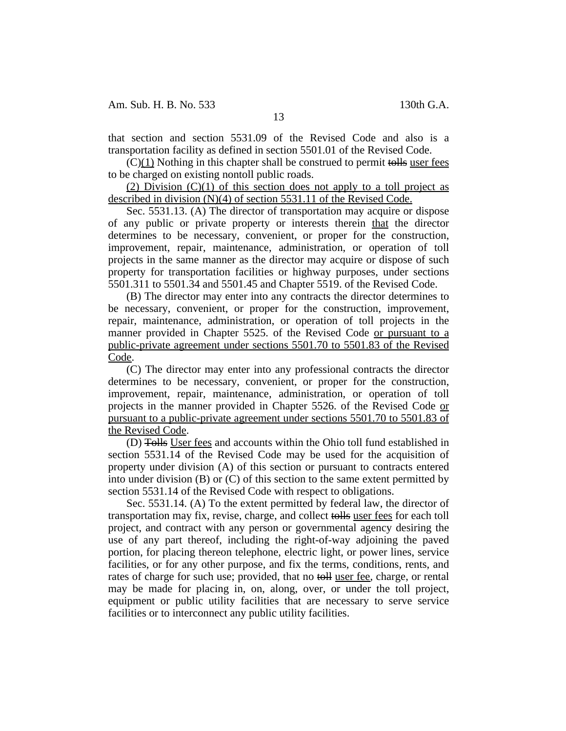that section and section 5531.09 of the Revised Code and also is a transportation facility as defined in section 5501.01 of the Revised Code.

 $(C)(1)$  Nothing in this chapter shall be construed to permit tolls user fees to be charged on existing nontoll public roads.

(2) Division  $(C)(1)$  of this section does not apply to a toll project as described in division (N)(4) of section 5531.11 of the Revised Code.

Sec. 5531.13. (A) The director of transportation may acquire or dispose of any public or private property or interests therein that the director determines to be necessary, convenient, or proper for the construction, improvement, repair, maintenance, administration, or operation of toll projects in the same manner as the director may acquire or dispose of such property for transportation facilities or highway purposes, under sections 5501.311 to 5501.34 and 5501.45 and Chapter 5519. of the Revised Code.

(B) The director may enter into any contracts the director determines to be necessary, convenient, or proper for the construction, improvement, repair, maintenance, administration, or operation of toll projects in the manner provided in Chapter 5525. of the Revised Code or pursuant to a public-private agreement under sections 5501.70 to 5501.83 of the Revised Code.

(C) The director may enter into any professional contracts the director determines to be necessary, convenient, or proper for the construction, improvement, repair, maintenance, administration, or operation of toll projects in the manner provided in Chapter 5526. of the Revised Code or pursuant to a public-private agreement under sections 5501.70 to 5501.83 of the Revised Code.

(D) Tolls User fees and accounts within the Ohio toll fund established in section 5531.14 of the Revised Code may be used for the acquisition of property under division (A) of this section or pursuant to contracts entered into under division (B) or (C) of this section to the same extent permitted by section 5531.14 of the Revised Code with respect to obligations.

Sec. 5531.14. (A) To the extent permitted by federal law, the director of transportation may fix, revise, charge, and collect tolls user fees for each toll project, and contract with any person or governmental agency desiring the use of any part thereof, including the right-of-way adjoining the paved portion, for placing thereon telephone, electric light, or power lines, service facilities, or for any other purpose, and fix the terms, conditions, rents, and rates of charge for such use; provided, that no toll user fee, charge, or rental may be made for placing in, on, along, over, or under the toll project, equipment or public utility facilities that are necessary to serve service facilities or to interconnect any public utility facilities.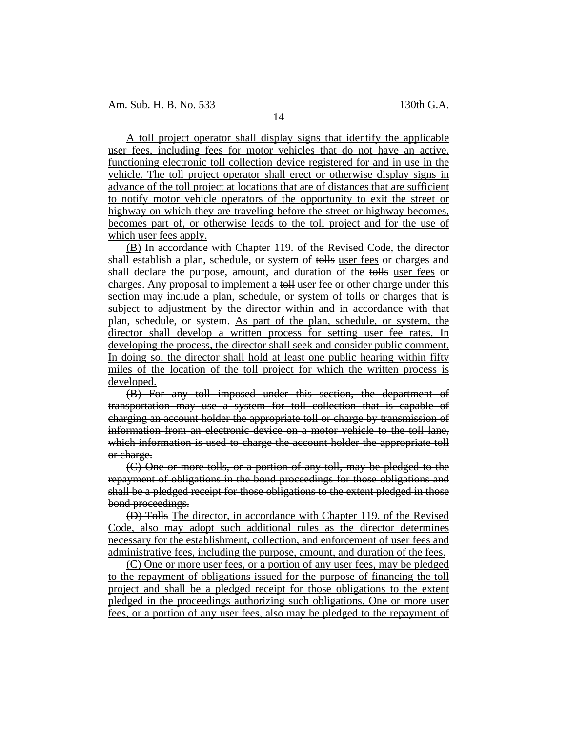A toll project operator shall display signs that identify the applicable user fees, including fees for motor vehicles that do not have an active, functioning electronic toll collection device registered for and in use in the vehicle. The toll project operator shall erect or otherwise display signs in advance of the toll project at locations that are of distances that are sufficient to notify motor vehicle operators of the opportunity to exit the street or highway on which they are traveling before the street or highway becomes, becomes part of, or otherwise leads to the toll project and for the use of which user fees apply.

(B) In accordance with Chapter 119. of the Revised Code, the director shall establish a plan, schedule, or system of tolls user fees or charges and shall declare the purpose, amount, and duration of the tolls user fees or charges. Any proposal to implement a toll user fee or other charge under this section may include a plan, schedule, or system of tolls or charges that is subject to adjustment by the director within and in accordance with that plan, schedule, or system. As part of the plan, schedule, or system, the director shall develop a written process for setting user fee rates. In developing the process, the director shall seek and consider public comment. In doing so, the director shall hold at least one public hearing within fifty miles of the location of the toll project for which the written process is developed.

(B) For any toll imposed under this section, the department of transportation may use a system for toll collection that is capable of charging an account holder the appropriate toll or charge by transmission of information from an electronic device on a motor vehicle to the toll lane, which information is used to charge the account holder the appropriate toll or charge.

(C) One or more tolls, or a portion of any toll, may be pledged to the repayment of obligations in the bond proceedings for those obligations and shall be a pledged receipt for those obligations to the extent pledged in those bond proceedings.

(D) Tolls The director, in accordance with Chapter 119. of the Revised Code, also may adopt such additional rules as the director determines necessary for the establishment, collection, and enforcement of user fees and administrative fees, including the purpose, amount, and duration of the fees.

(C) One or more user fees, or a portion of any user fees, may be pledged to the repayment of obligations issued for the purpose of financing the toll project and shall be a pledged receipt for those obligations to the extent pledged in the proceedings authorizing such obligations. One or more user fees, or a portion of any user fees, also may be pledged to the repayment of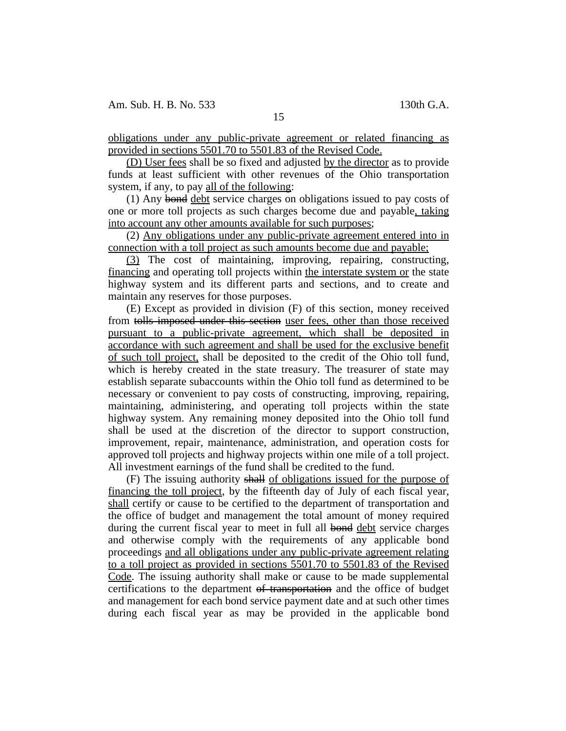obligations under any public-private agreement or related financing as provided in sections 5501.70 to 5501.83 of the Revised Code.

(D) User fees shall be so fixed and adjusted by the director as to provide funds at least sufficient with other revenues of the Ohio transportation system, if any, to pay all of the following:

(1) Any bond debt service charges on obligations issued to pay costs of one or more toll projects as such charges become due and payable, taking into account any other amounts available for such purposes;

(2) Any obligations under any public-private agreement entered into in connection with a toll project as such amounts become due and payable;

(3) The cost of maintaining, improving, repairing, constructing, financing and operating toll projects within the interstate system or the state highway system and its different parts and sections, and to create and maintain any reserves for those purposes.

(E) Except as provided in division (F) of this section, money received from tolls imposed under this section user fees, other than those received pursuant to a public-private agreement, which shall be deposited in accordance with such agreement and shall be used for the exclusive benefit of such toll project, shall be deposited to the credit of the Ohio toll fund, which is hereby created in the state treasury. The treasurer of state may establish separate subaccounts within the Ohio toll fund as determined to be necessary or convenient to pay costs of constructing, improving, repairing, maintaining, administering, and operating toll projects within the state highway system. Any remaining money deposited into the Ohio toll fund shall be used at the discretion of the director to support construction, improvement, repair, maintenance, administration, and operation costs for approved toll projects and highway projects within one mile of a toll project. All investment earnings of the fund shall be credited to the fund.

(F) The issuing authority shall of obligations issued for the purpose of financing the toll project, by the fifteenth day of July of each fiscal year, shall certify or cause to be certified to the department of transportation and the office of budget and management the total amount of money required during the current fiscal year to meet in full all bond debt service charges and otherwise comply with the requirements of any applicable bond proceedings and all obligations under any public-private agreement relating to a toll project as provided in sections 5501.70 to 5501.83 of the Revised Code. The issuing authority shall make or cause to be made supplemental certifications to the department of transportation and the office of budget and management for each bond service payment date and at such other times during each fiscal year as may be provided in the applicable bond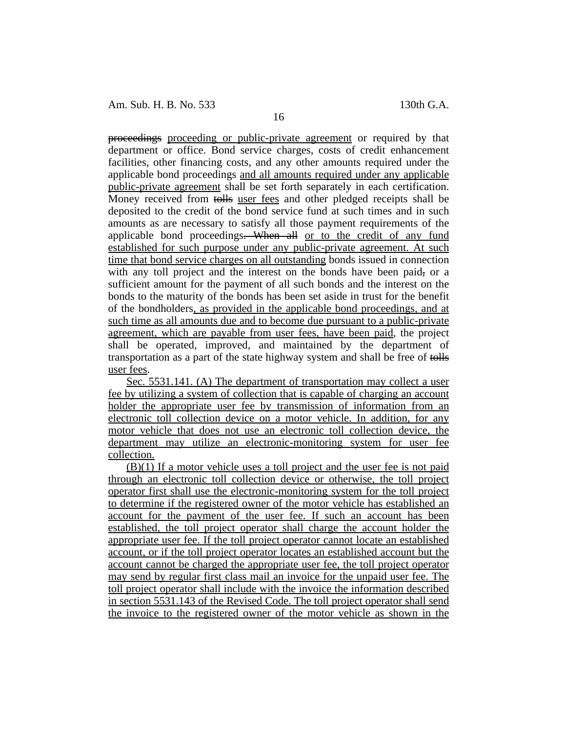Am. Sub. H. B. No. 533 130th G.A.

proceedings proceeding or public-private agreement or required by that department or office. Bond service charges, costs of credit enhancement facilities, other financing costs, and any other amounts required under the applicable bond proceedings and all amounts required under any applicable public-private agreement shall be set forth separately in each certification. Money received from tolls user fees and other pledged receipts shall be deposited to the credit of the bond service fund at such times and in such amounts as are necessary to satisfy all those payment requirements of the applicable bond proceedings. When all or to the credit of any fund established for such purpose under any public-private agreement. At such time that bond service charges on all outstanding bonds issued in connection with any toll project and the interest on the bonds have been paid, or a sufficient amount for the payment of all such bonds and the interest on the bonds to the maturity of the bonds has been set aside in trust for the benefit of the bondholders, as provided in the applicable bond proceedings, and at such time as all amounts due and to become due pursuant to a public-private agreement, which are payable from user fees, have been paid, the project shall be operated, improved, and maintained by the department of transportation as a part of the state highway system and shall be free of tolls user fees.

Sec. 5531.141. (A) The department of transportation may collect a user fee by utilizing a system of collection that is capable of charging an account holder the appropriate user fee by transmission of information from an electronic toll collection device on a motor vehicle. In addition, for any motor vehicle that does not use an electronic toll collection device, the department may utilize an electronic-monitoring system for user fee collection.

(B)(1) If a motor vehicle uses a toll project and the user fee is not paid through an electronic toll collection device or otherwise, the toll project operator first shall use the electronic-monitoring system for the toll project to determine if the registered owner of the motor vehicle has established an account for the payment of the user fee. If such an account has been established, the toll project operator shall charge the account holder the appropriate user fee. If the toll project operator cannot locate an established account, or if the toll project operator locates an established account but the account cannot be charged the appropriate user fee, the toll project operator may send by regular first class mail an invoice for the unpaid user fee. The toll project operator shall include with the invoice the information described in section 5531.143 of the Revised Code. The toll project operator shall send the invoice to the registered owner of the motor vehicle as shown in the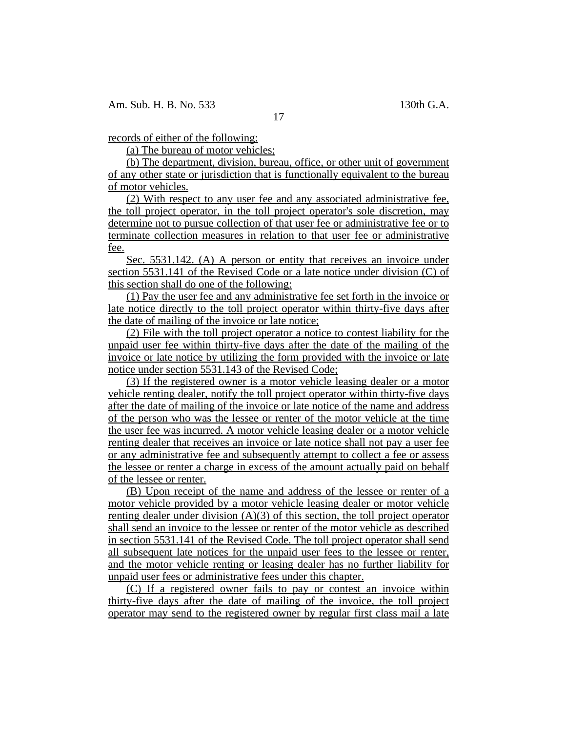17

records of either of the following:

(a) The bureau of motor vehicles;

(b) The department, division, bureau, office, or other unit of government of any other state or jurisdiction that is functionally equivalent to the bureau of motor vehicles.

(2) With respect to any user fee and any associated administrative fee, the toll project operator, in the toll project operator's sole discretion, may determine not to pursue collection of that user fee or administrative fee or to terminate collection measures in relation to that user fee or administrative fee.

Sec. 5531.142. (A) A person or entity that receives an invoice under section 5531.141 of the Revised Code or a late notice under division (C) of this section shall do one of the following:

(1) Pay the user fee and any administrative fee set forth in the invoice or late notice directly to the toll project operator within thirty-five days after the date of mailing of the invoice or late notice;

(2) File with the toll project operator a notice to contest liability for the unpaid user fee within thirty-five days after the date of the mailing of the invoice or late notice by utilizing the form provided with the invoice or late notice under section 5531.143 of the Revised Code;

(3) If the registered owner is a motor vehicle leasing dealer or a motor vehicle renting dealer, notify the toll project operator within thirty-five days after the date of mailing of the invoice or late notice of the name and address of the person who was the lessee or renter of the motor vehicle at the time the user fee was incurred. A motor vehicle leasing dealer or a motor vehicle renting dealer that receives an invoice or late notice shall not pay a user fee or any administrative fee and subsequently attempt to collect a fee or assess the lessee or renter a charge in excess of the amount actually paid on behalf of the lessee or renter.

(B) Upon receipt of the name and address of the lessee or renter of a motor vehicle provided by a motor vehicle leasing dealer or motor vehicle renting dealer under division (A)(3) of this section, the toll project operator shall send an invoice to the lessee or renter of the motor vehicle as described in section 5531.141 of the Revised Code. The toll project operator shall send all subsequent late notices for the unpaid user fees to the lessee or renter, and the motor vehicle renting or leasing dealer has no further liability for unpaid user fees or administrative fees under this chapter.

(C) If a registered owner fails to pay or contest an invoice within thirty-five days after the date of mailing of the invoice, the toll project operator may send to the registered owner by regular first class mail a late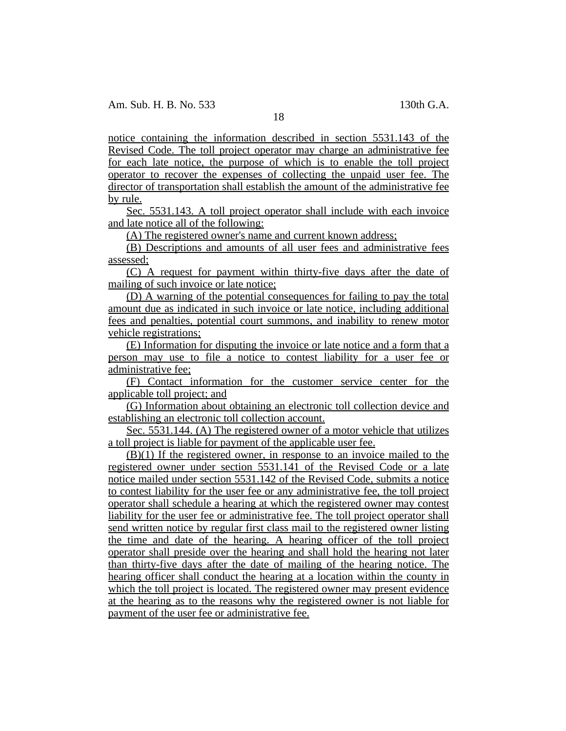18

notice containing the information described in section 5531.143 of the Revised Code. The toll project operator may charge an administrative fee for each late notice, the purpose of which is to enable the toll project operator to recover the expenses of collecting the unpaid user fee. The director of transportation shall establish the amount of the administrative fee by rule.

Sec. 5531.143. A toll project operator shall include with each invoice and late notice all of the following:

(A) The registered owner's name and current known address;

(B) Descriptions and amounts of all user fees and administrative fees assessed;

(C) A request for payment within thirty-five days after the date of mailing of such invoice or late notice;

(D) A warning of the potential consequences for failing to pay the total amount due as indicated in such invoice or late notice, including additional fees and penalties, potential court summons, and inability to renew motor vehicle registrations;

(E) Information for disputing the invoice or late notice and a form that a person may use to file a notice to contest liability for a user fee or administrative fee;

(F) Contact information for the customer service center for the applicable toll project; and

(G) Information about obtaining an electronic toll collection device and establishing an electronic toll collection account.

Sec. 5531.144. (A) The registered owner of a motor vehicle that utilizes a toll project is liable for payment of the applicable user fee.

(B)(1) If the registered owner, in response to an invoice mailed to the registered owner under section 5531.141 of the Revised Code or a late notice mailed under section 5531.142 of the Revised Code, submits a notice to contest liability for the user fee or any administrative fee, the toll project operator shall schedule a hearing at which the registered owner may contest liability for the user fee or administrative fee. The toll project operator shall send written notice by regular first class mail to the registered owner listing the time and date of the hearing. A hearing officer of the toll project operator shall preside over the hearing and shall hold the hearing not later than thirty-five days after the date of mailing of the hearing notice. The hearing officer shall conduct the hearing at a location within the county in which the toll project is located. The registered owner may present evidence at the hearing as to the reasons why the registered owner is not liable for payment of the user fee or administrative fee.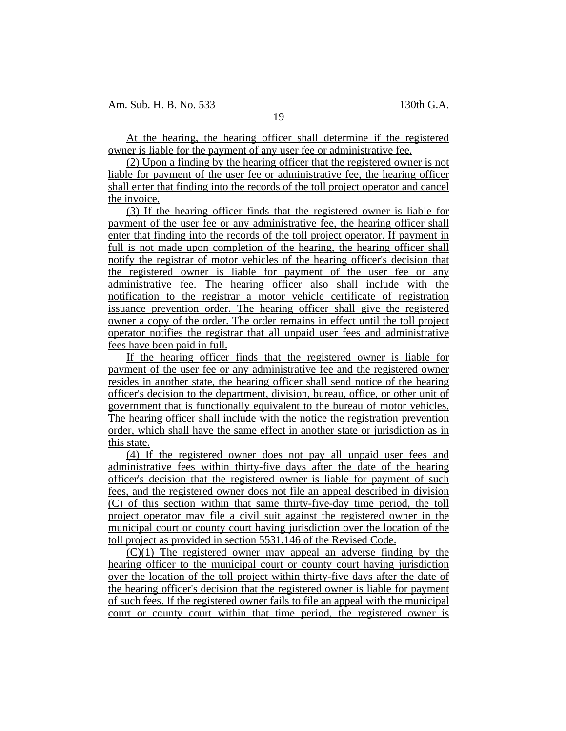At the hearing, the hearing officer shall determine if the registered owner is liable for the payment of any user fee or administrative fee.

(2) Upon a finding by the hearing officer that the registered owner is not liable for payment of the user fee or administrative fee, the hearing officer shall enter that finding into the records of the toll project operator and cancel the invoice.

(3) If the hearing officer finds that the registered owner is liable for payment of the user fee or any administrative fee, the hearing officer shall enter that finding into the records of the toll project operator. If payment in full is not made upon completion of the hearing, the hearing officer shall notify the registrar of motor vehicles of the hearing officer's decision that the registered owner is liable for payment of the user fee or any administrative fee. The hearing officer also shall include with the notification to the registrar a motor vehicle certificate of registration issuance prevention order. The hearing officer shall give the registered owner a copy of the order. The order remains in effect until the toll project operator notifies the registrar that all unpaid user fees and administrative fees have been paid in full.

If the hearing officer finds that the registered owner is liable for payment of the user fee or any administrative fee and the registered owner resides in another state, the hearing officer shall send notice of the hearing officer's decision to the department, division, bureau, office, or other unit of government that is functionally equivalent to the bureau of motor vehicles. The hearing officer shall include with the notice the registration prevention order, which shall have the same effect in another state or jurisdiction as in this state.

(4) If the registered owner does not pay all unpaid user fees and administrative fees within thirty-five days after the date of the hearing officer's decision that the registered owner is liable for payment of such fees, and the registered owner does not file an appeal described in division (C) of this section within that same thirty-five-day time period, the toll project operator may file a civil suit against the registered owner in the municipal court or county court having jurisdiction over the location of the toll project as provided in section 5531.146 of the Revised Code.

(C)(1) The registered owner may appeal an adverse finding by the hearing officer to the municipal court or county court having jurisdiction over the location of the toll project within thirty-five days after the date of the hearing officer's decision that the registered owner is liable for payment of such fees. If the registered owner fails to file an appeal with the municipal court or county court within that time period, the registered owner is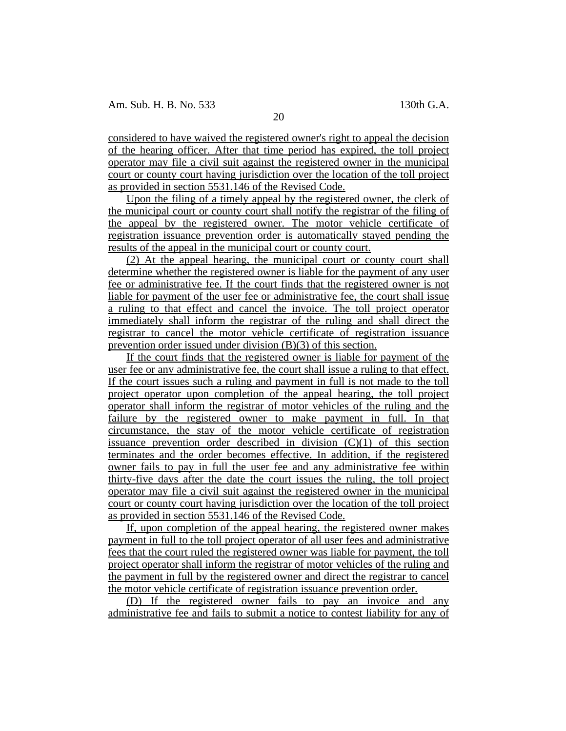considered to have waived the registered owner's right to appeal the decision of the hearing officer. After that time period has expired, the toll project operator may file a civil suit against the registered owner in the municipal court or county court having jurisdiction over the location of the toll project as provided in section 5531.146 of the Revised Code.

Upon the filing of a timely appeal by the registered owner, the clerk of the municipal court or county court shall notify the registrar of the filing of the appeal by the registered owner. The motor vehicle certificate of registration issuance prevention order is automatically stayed pending the results of the appeal in the municipal court or county court.

(2) At the appeal hearing, the municipal court or county court shall determine whether the registered owner is liable for the payment of any user fee or administrative fee. If the court finds that the registered owner is not liable for payment of the user fee or administrative fee, the court shall issue a ruling to that effect and cancel the invoice. The toll project operator immediately shall inform the registrar of the ruling and shall direct the registrar to cancel the motor vehicle certificate of registration issuance prevention order issued under division (B)(3) of this section.

If the court finds that the registered owner is liable for payment of the user fee or any administrative fee, the court shall issue a ruling to that effect. If the court issues such a ruling and payment in full is not made to the toll project operator upon completion of the appeal hearing, the toll project operator shall inform the registrar of motor vehicles of the ruling and the failure by the registered owner to make payment in full. In that circumstance, the stay of the motor vehicle certificate of registration issuance prevention order described in division (C)(1) of this section terminates and the order becomes effective. In addition, if the registered owner fails to pay in full the user fee and any administrative fee within thirty-five days after the date the court issues the ruling, the toll project operator may file a civil suit against the registered owner in the municipal court or county court having jurisdiction over the location of the toll project as provided in section 5531.146 of the Revised Code.

If, upon completion of the appeal hearing, the registered owner makes payment in full to the toll project operator of all user fees and administrative fees that the court ruled the registered owner was liable for payment, the toll project operator shall inform the registrar of motor vehicles of the ruling and the payment in full by the registered owner and direct the registrar to cancel the motor vehicle certificate of registration issuance prevention order.

(D) If the registered owner fails to pay an invoice and any administrative fee and fails to submit a notice to contest liability for any of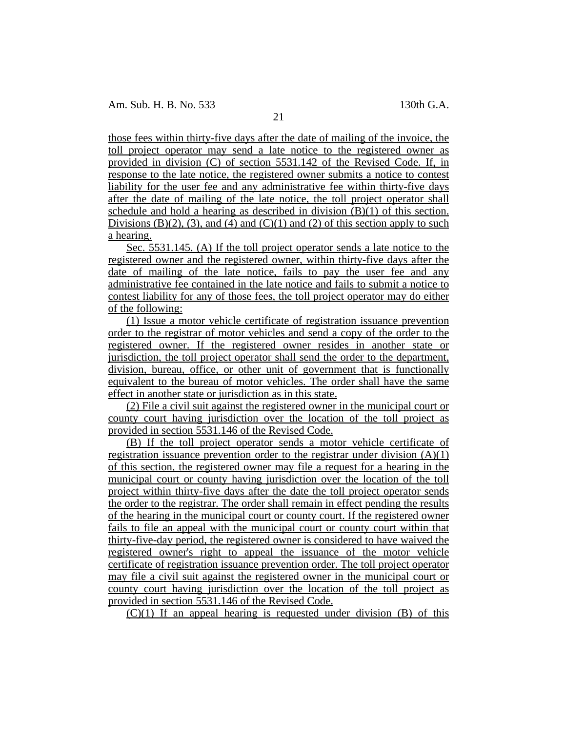those fees within thirty-five days after the date of mailing of the invoice, the toll project operator may send a late notice to the registered owner as provided in division (C) of section 5531.142 of the Revised Code. If, in response to the late notice, the registered owner submits a notice to contest liability for the user fee and any administrative fee within thirty-five days after the date of mailing of the late notice, the toll project operator shall schedule and hold a hearing as described in division (B)(1) of this section. Divisions (B)(2), (3), and (4) and (C)(1) and (2) of this section apply to such a hearing.

Sec. 5531.145. (A) If the toll project operator sends a late notice to the registered owner and the registered owner, within thirty-five days after the date of mailing of the late notice, fails to pay the user fee and any administrative fee contained in the late notice and fails to submit a notice to contest liability for any of those fees, the toll project operator may do either of the following:

(1) Issue a motor vehicle certificate of registration issuance prevention order to the registrar of motor vehicles and send a copy of the order to the registered owner. If the registered owner resides in another state or jurisdiction, the toll project operator shall send the order to the department, division, bureau, office, or other unit of government that is functionally equivalent to the bureau of motor vehicles. The order shall have the same effect in another state or jurisdiction as in this state.

(2) File a civil suit against the registered owner in the municipal court or county court having jurisdiction over the location of the toll project as provided in section 5531.146 of the Revised Code.

(B) If the toll project operator sends a motor vehicle certificate of registration issuance prevention order to the registrar under division (A)(1) of this section, the registered owner may file a request for a hearing in the municipal court or county having jurisdiction over the location of the toll project within thirty-five days after the date the toll project operator sends the order to the registrar. The order shall remain in effect pending the results of the hearing in the municipal court or county court. If the registered owner fails to file an appeal with the municipal court or county court within that thirty-five-day period, the registered owner is considered to have waived the registered owner's right to appeal the issuance of the motor vehicle certificate of registration issuance prevention order. The toll project operator may file a civil suit against the registered owner in the municipal court or county court having jurisdiction over the location of the toll project as provided in section 5531.146 of the Revised Code.

 $(C)(1)$  If an appeal hearing is requested under division  $(B)$  of this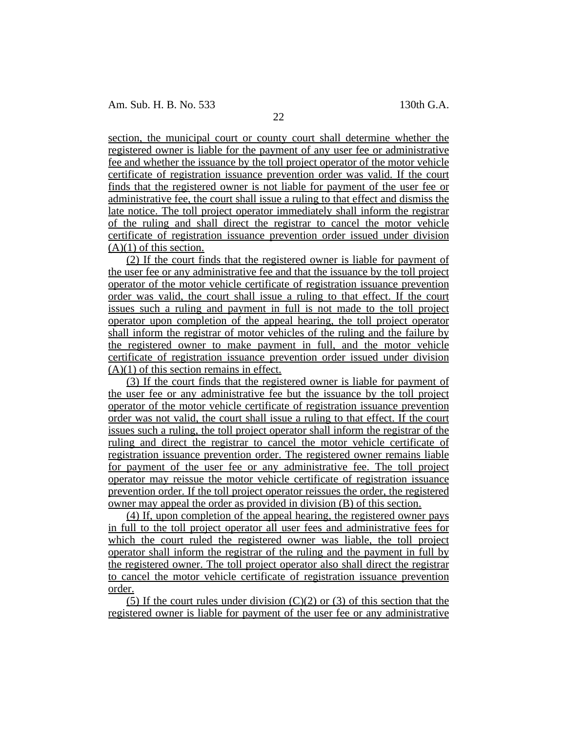section, the municipal court or county court shall determine whether the registered owner is liable for the payment of any user fee or administrative fee and whether the issuance by the toll project operator of the motor vehicle certificate of registration issuance prevention order was valid. If the court finds that the registered owner is not liable for payment of the user fee or administrative fee, the court shall issue a ruling to that effect and dismiss the late notice. The toll project operator immediately shall inform the registrar of the ruling and shall direct the registrar to cancel the motor vehicle certificate of registration issuance prevention order issued under division  $(A)(1)$  of this section.

(2) If the court finds that the registered owner is liable for payment of the user fee or any administrative fee and that the issuance by the toll project operator of the motor vehicle certificate of registration issuance prevention order was valid, the court shall issue a ruling to that effect. If the court issues such a ruling and payment in full is not made to the toll project operator upon completion of the appeal hearing, the toll project operator shall inform the registrar of motor vehicles of the ruling and the failure by the registered owner to make payment in full, and the motor vehicle certificate of registration issuance prevention order issued under division  $(A)(1)$  of this section remains in effect.

(3) If the court finds that the registered owner is liable for payment of the user fee or any administrative fee but the issuance by the toll project operator of the motor vehicle certificate of registration issuance prevention order was not valid, the court shall issue a ruling to that effect. If the court issues such a ruling, the toll project operator shall inform the registrar of the ruling and direct the registrar to cancel the motor vehicle certificate of registration issuance prevention order. The registered owner remains liable for payment of the user fee or any administrative fee. The toll project operator may reissue the motor vehicle certificate of registration issuance prevention order. If the toll project operator reissues the order, the registered owner may appeal the order as provided in division (B) of this section.

(4) If, upon completion of the appeal hearing, the registered owner pays in full to the toll project operator all user fees and administrative fees for which the court ruled the registered owner was liable, the toll project operator shall inform the registrar of the ruling and the payment in full by the registered owner. The toll project operator also shall direct the registrar to cancel the motor vehicle certificate of registration issuance prevention order.

(5) If the court rules under division  $(C)(2)$  or (3) of this section that the registered owner is liable for payment of the user fee or any administrative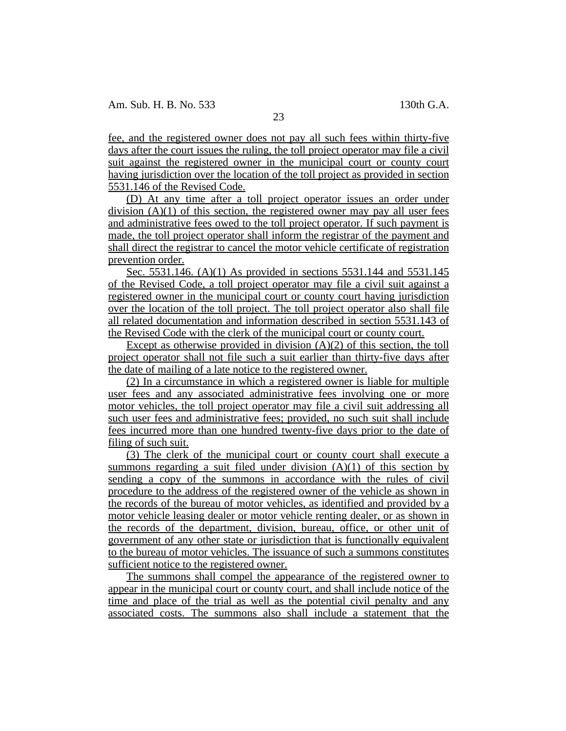fee, and the registered owner does not pay all such fees within thirty-five days after the court issues the ruling, the toll project operator may file a civil suit against the registered owner in the municipal court or county court having jurisdiction over the location of the toll project as provided in section 5531.146 of the Revised Code.

(D) At any time after a toll project operator issues an order under division  $(A)(1)$  of this section, the registered owner may pay all user fees and administrative fees owed to the toll project operator. If such payment is made, the toll project operator shall inform the registrar of the payment and shall direct the registrar to cancel the motor vehicle certificate of registration prevention order.

Sec. 5531.146. (A)(1) As provided in sections 5531.144 and 5531.145 of the Revised Code, a toll project operator may file a civil suit against a registered owner in the municipal court or county court having jurisdiction over the location of the toll project. The toll project operator also shall file all related documentation and information described in section 5531.143 of the Revised Code with the clerk of the municipal court or county court.

Except as otherwise provided in division  $(A)(2)$  of this section, the toll project operator shall not file such a suit earlier than thirty-five days after the date of mailing of a late notice to the registered owner.

(2) In a circumstance in which a registered owner is liable for multiple user fees and any associated administrative fees involving one or more motor vehicles, the toll project operator may file a civil suit addressing all such user fees and administrative fees; provided, no such suit shall include fees incurred more than one hundred twenty-five days prior to the date of filing of such suit.

(3) The clerk of the municipal court or county court shall execute a summons regarding a suit filed under division  $(A)(1)$  of this section by sending a copy of the summons in accordance with the rules of civil procedure to the address of the registered owner of the vehicle as shown in the records of the bureau of motor vehicles, as identified and provided by a motor vehicle leasing dealer or motor vehicle renting dealer, or as shown in the records of the department, division, bureau, office, or other unit of government of any other state or jurisdiction that is functionally equivalent to the bureau of motor vehicles. The issuance of such a summons constitutes sufficient notice to the registered owner.

The summons shall compel the appearance of the registered owner to appear in the municipal court or county court, and shall include notice of the time and place of the trial as well as the potential civil penalty and any associated costs. The summons also shall include a statement that the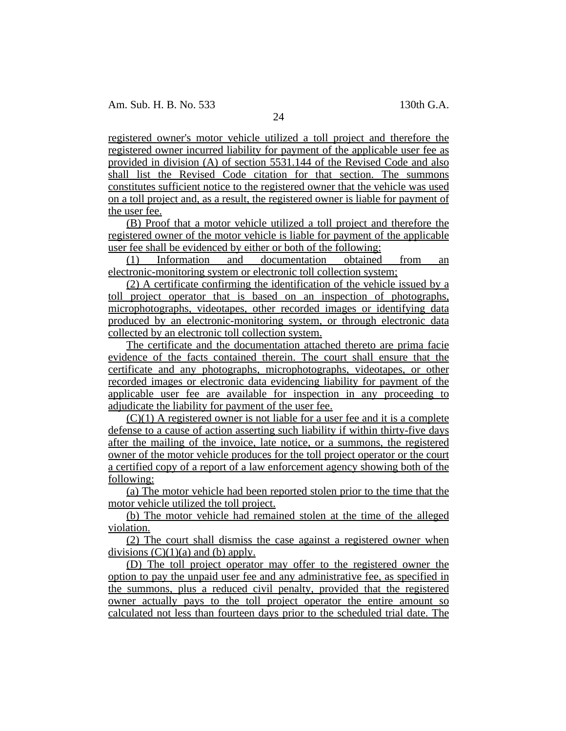registered owner's motor vehicle utilized a toll project and therefore the registered owner incurred liability for payment of the applicable user fee as provided in division (A) of section 5531.144 of the Revised Code and also shall list the Revised Code citation for that section. The summons constitutes sufficient notice to the registered owner that the vehicle was used on a toll project and, as a result, the registered owner is liable for payment of the user fee.

(B) Proof that a motor vehicle utilized a toll project and therefore the registered owner of the motor vehicle is liable for payment of the applicable user fee shall be evidenced by either or both of the following:

(1) Information and documentation obtained from an electronic-monitoring system or electronic toll collection system;

(2) A certificate confirming the identification of the vehicle issued by a toll project operator that is based on an inspection of photographs, microphotographs, videotapes, other recorded images or identifying data produced by an electronic-monitoring system, or through electronic data collected by an electronic toll collection system.

The certificate and the documentation attached thereto are prima facie evidence of the facts contained therein. The court shall ensure that the certificate and any photographs, microphotographs, videotapes, or other recorded images or electronic data evidencing liability for payment of the applicable user fee are available for inspection in any proceeding to adjudicate the liability for payment of the user fee.

 $(C)(1)$  A registered owner is not liable for a user fee and it is a complete defense to a cause of action asserting such liability if within thirty-five days after the mailing of the invoice, late notice, or a summons, the registered owner of the motor vehicle produces for the toll project operator or the court a certified copy of a report of a law enforcement agency showing both of the following:

(a) The motor vehicle had been reported stolen prior to the time that the motor vehicle utilized the toll project.

(b) The motor vehicle had remained stolen at the time of the alleged violation.

(2) The court shall dismiss the case against a registered owner when divisions  $(C)(1)(a)$  and  $(b)$  apply.

(D) The toll project operator may offer to the registered owner the option to pay the unpaid user fee and any administrative fee, as specified in the summons, plus a reduced civil penalty, provided that the registered owner actually pays to the toll project operator the entire amount so calculated not less than fourteen days prior to the scheduled trial date. The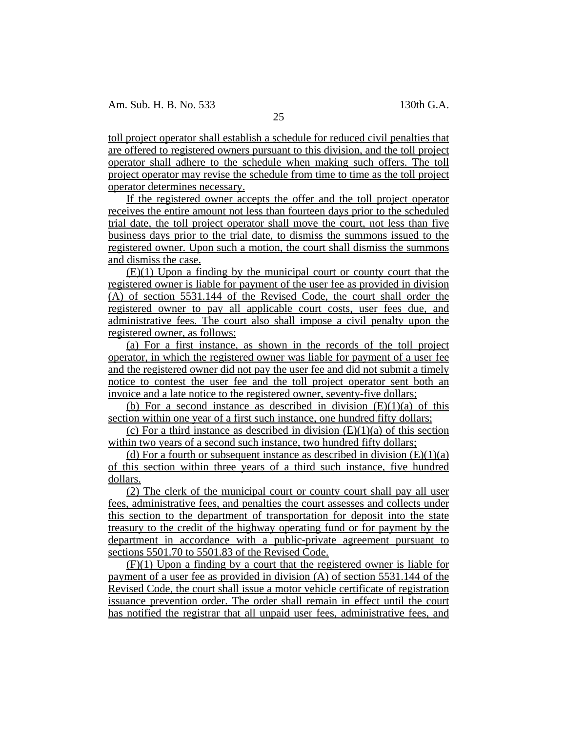toll project operator shall establish a schedule for reduced civil penalties that are offered to registered owners pursuant to this division, and the toll project operator shall adhere to the schedule when making such offers. The toll project operator may revise the schedule from time to time as the toll project operator determines necessary.

If the registered owner accepts the offer and the toll project operator receives the entire amount not less than fourteen days prior to the scheduled trial date, the toll project operator shall move the court, not less than five business days prior to the trial date, to dismiss the summons issued to the registered owner. Upon such a motion, the court shall dismiss the summons and dismiss the case.

(E)(1) Upon a finding by the municipal court or county court that the registered owner is liable for payment of the user fee as provided in division (A) of section 5531.144 of the Revised Code, the court shall order the registered owner to pay all applicable court costs, user fees due, and administrative fees. The court also shall impose a civil penalty upon the registered owner, as follows:

(a) For a first instance, as shown in the records of the toll project operator, in which the registered owner was liable for payment of a user fee and the registered owner did not pay the user fee and did not submit a timely notice to contest the user fee and the toll project operator sent both an invoice and a late notice to the registered owner, seventy-five dollars;

(b) For a second instance as described in division  $(E)(1)(a)$  of this section within one year of a first such instance, one hundred fifty dollars;

(c) For a third instance as described in division  $(E)(1)(a)$  of this section within two years of a second such instance, two hundred fifty dollars;

(d) For a fourth or subsequent instance as described in division  $(E)(1)(a)$ of this section within three years of a third such instance, five hundred dollars.

(2) The clerk of the municipal court or county court shall pay all user fees, administrative fees, and penalties the court assesses and collects under this section to the department of transportation for deposit into the state treasury to the credit of the highway operating fund or for payment by the department in accordance with a public-private agreement pursuant to sections 5501.70 to 5501.83 of the Revised Code.

(F)(1) Upon a finding by a court that the registered owner is liable for payment of a user fee as provided in division (A) of section 5531.144 of the Revised Code, the court shall issue a motor vehicle certificate of registration issuance prevention order. The order shall remain in effect until the court has notified the registrar that all unpaid user fees, administrative fees, and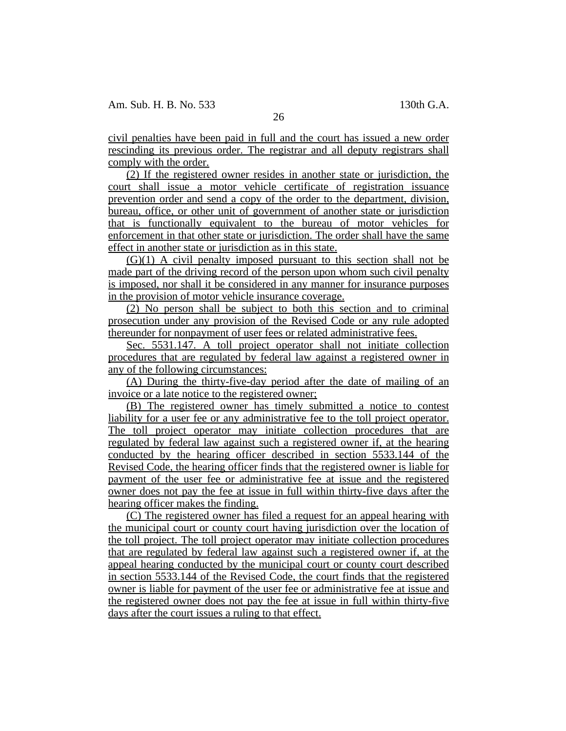civil penalties have been paid in full and the court has issued a new order rescinding its previous order. The registrar and all deputy registrars shall comply with the order.

(2) If the registered owner resides in another state or jurisdiction, the court shall issue a motor vehicle certificate of registration issuance prevention order and send a copy of the order to the department, division, bureau, office, or other unit of government of another state or jurisdiction that is functionally equivalent to the bureau of motor vehicles for enforcement in that other state or jurisdiction. The order shall have the same effect in another state or jurisdiction as in this state.

(G)(1) A civil penalty imposed pursuant to this section shall not be made part of the driving record of the person upon whom such civil penalty is imposed, nor shall it be considered in any manner for insurance purposes in the provision of motor vehicle insurance coverage.

(2) No person shall be subject to both this section and to criminal prosecution under any provision of the Revised Code or any rule adopted thereunder for nonpayment of user fees or related administrative fees.

Sec. 5531.147. A toll project operator shall not initiate collection procedures that are regulated by federal law against a registered owner in any of the following circumstances:

(A) During the thirty-five-day period after the date of mailing of an invoice or a late notice to the registered owner;

(B) The registered owner has timely submitted a notice to contest liability for a user fee or any administrative fee to the toll project operator. The toll project operator may initiate collection procedures that are regulated by federal law against such a registered owner if, at the hearing conducted by the hearing officer described in section 5533.144 of the Revised Code, the hearing officer finds that the registered owner is liable for payment of the user fee or administrative fee at issue and the registered owner does not pay the fee at issue in full within thirty-five days after the hearing officer makes the finding.

(C) The registered owner has filed a request for an appeal hearing with the municipal court or county court having jurisdiction over the location of the toll project. The toll project operator may initiate collection procedures that are regulated by federal law against such a registered owner if, at the appeal hearing conducted by the municipal court or county court described in section 5533.144 of the Revised Code, the court finds that the registered owner is liable for payment of the user fee or administrative fee at issue and the registered owner does not pay the fee at issue in full within thirty-five days after the court issues a ruling to that effect.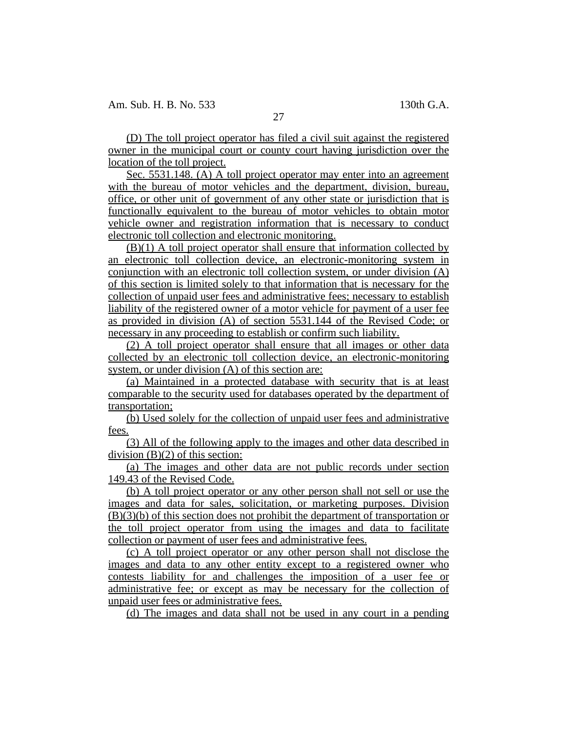(D) The toll project operator has filed a civil suit against the registered owner in the municipal court or county court having jurisdiction over the location of the toll project.

Sec. 5531.148. (A) A toll project operator may enter into an agreement with the bureau of motor vehicles and the department, division, bureau, office, or other unit of government of any other state or jurisdiction that is functionally equivalent to the bureau of motor vehicles to obtain motor vehicle owner and registration information that is necessary to conduct electronic toll collection and electronic monitoring.

(B)(1) A toll project operator shall ensure that information collected by an electronic toll collection device, an electronic-monitoring system in conjunction with an electronic toll collection system, or under division (A) of this section is limited solely to that information that is necessary for the collection of unpaid user fees and administrative fees; necessary to establish liability of the registered owner of a motor vehicle for payment of a user fee as provided in division (A) of section 5531.144 of the Revised Code; or necessary in any proceeding to establish or confirm such liability.

(2) A toll project operator shall ensure that all images or other data collected by an electronic toll collection device, an electronic-monitoring system, or under division (A) of this section are:

(a) Maintained in a protected database with security that is at least comparable to the security used for databases operated by the department of transportation;

(b) Used solely for the collection of unpaid user fees and administrative fees.

(3) All of the following apply to the images and other data described in division (B)(2) of this section:

(a) The images and other data are not public records under section 149.43 of the Revised Code.

(b) A toll project operator or any other person shall not sell or use the images and data for sales, solicitation, or marketing purposes. Division (B)(3)(b) of this section does not prohibit the department of transportation or the toll project operator from using the images and data to facilitate collection or payment of user fees and administrative fees.

(c) A toll project operator or any other person shall not disclose the images and data to any other entity except to a registered owner who contests liability for and challenges the imposition of a user fee or administrative fee; or except as may be necessary for the collection of unpaid user fees or administrative fees.

(d) The images and data shall not be used in any court in a pending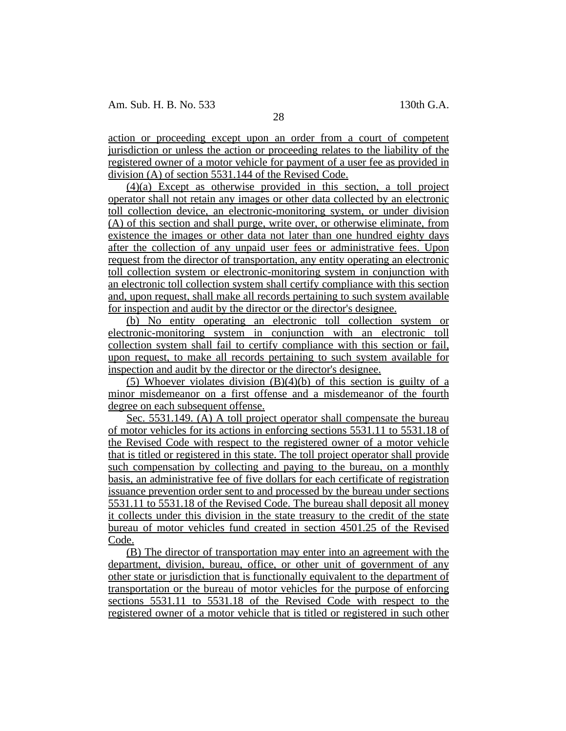action or proceeding except upon an order from a court of competent jurisdiction or unless the action or proceeding relates to the liability of the registered owner of a motor vehicle for payment of a user fee as provided in division (A) of section 5531.144 of the Revised Code.

(4)(a) Except as otherwise provided in this section, a toll project operator shall not retain any images or other data collected by an electronic toll collection device, an electronic-monitoring system, or under division (A) of this section and shall purge, write over, or otherwise eliminate, from existence the images or other data not later than one hundred eighty days after the collection of any unpaid user fees or administrative fees. Upon request from the director of transportation, any entity operating an electronic toll collection system or electronic-monitoring system in conjunction with an electronic toll collection system shall certify compliance with this section and, upon request, shall make all records pertaining to such system available for inspection and audit by the director or the director's designee.

(b) No entity operating an electronic toll collection system or electronic-monitoring system in conjunction with an electronic toll collection system shall fail to certify compliance with this section or fail, upon request, to make all records pertaining to such system available for inspection and audit by the director or the director's designee.

(5) Whoever violates division (B)(4)(b) of this section is guilty of a minor misdemeanor on a first offense and a misdemeanor of the fourth degree on each subsequent offense.

Sec. 5531.149. (A) A toll project operator shall compensate the bureau of motor vehicles for its actions in enforcing sections 5531.11 to 5531.18 of the Revised Code with respect to the registered owner of a motor vehicle that is titled or registered in this state. The toll project operator shall provide such compensation by collecting and paying to the bureau, on a monthly basis, an administrative fee of five dollars for each certificate of registration issuance prevention order sent to and processed by the bureau under sections 5531.11 to 5531.18 of the Revised Code. The bureau shall deposit all money it collects under this division in the state treasury to the credit of the state bureau of motor vehicles fund created in section 4501.25 of the Revised Code.

(B) The director of transportation may enter into an agreement with the department, division, bureau, office, or other unit of government of any other state or jurisdiction that is functionally equivalent to the department of transportation or the bureau of motor vehicles for the purpose of enforcing sections 5531.11 to 5531.18 of the Revised Code with respect to the registered owner of a motor vehicle that is titled or registered in such other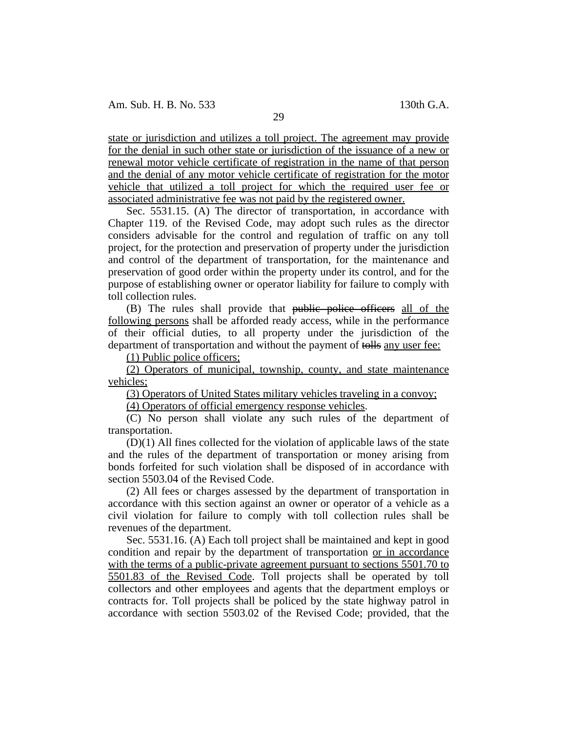state or jurisdiction and utilizes a toll project. The agreement may provide for the denial in such other state or jurisdiction of the issuance of a new or renewal motor vehicle certificate of registration in the name of that person and the denial of any motor vehicle certificate of registration for the motor vehicle that utilized a toll project for which the required user fee or associated administrative fee was not paid by the registered owner.

Sec. 5531.15. (A) The director of transportation, in accordance with Chapter 119. of the Revised Code, may adopt such rules as the director considers advisable for the control and regulation of traffic on any toll project, for the protection and preservation of property under the jurisdiction and control of the department of transportation, for the maintenance and preservation of good order within the property under its control, and for the purpose of establishing owner or operator liability for failure to comply with toll collection rules.

(B) The rules shall provide that public police officers all of the following persons shall be afforded ready access, while in the performance of their official duties, to all property under the jurisdiction of the department of transportation and without the payment of tolls any user fee:

(1) Public police officers;

(2) Operators of municipal, township, county, and state maintenance vehicles;

(3) Operators of United States military vehicles traveling in a convoy;

(4) Operators of official emergency response vehicles.

(C) No person shall violate any such rules of the department of transportation.

 $(D)(1)$  All fines collected for the violation of applicable laws of the state and the rules of the department of transportation or money arising from bonds forfeited for such violation shall be disposed of in accordance with section 5503.04 of the Revised Code.

(2) All fees or charges assessed by the department of transportation in accordance with this section against an owner or operator of a vehicle as a civil violation for failure to comply with toll collection rules shall be revenues of the department.

Sec. 5531.16. (A) Each toll project shall be maintained and kept in good condition and repair by the department of transportation or in accordance with the terms of a public-private agreement pursuant to sections 5501.70 to 5501.83 of the Revised Code. Toll projects shall be operated by toll collectors and other employees and agents that the department employs or contracts for. Toll projects shall be policed by the state highway patrol in accordance with section 5503.02 of the Revised Code; provided, that the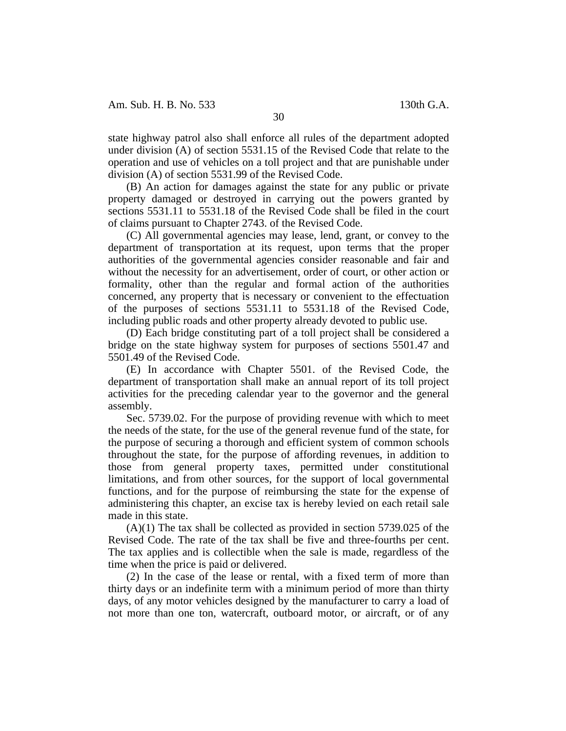state highway patrol also shall enforce all rules of the department adopted under division (A) of section 5531.15 of the Revised Code that relate to the operation and use of vehicles on a toll project and that are punishable under division (A) of section 5531.99 of the Revised Code.

(B) An action for damages against the state for any public or private property damaged or destroyed in carrying out the powers granted by sections 5531.11 to 5531.18 of the Revised Code shall be filed in the court of claims pursuant to Chapter 2743. of the Revised Code.

(C) All governmental agencies may lease, lend, grant, or convey to the department of transportation at its request, upon terms that the proper authorities of the governmental agencies consider reasonable and fair and without the necessity for an advertisement, order of court, or other action or formality, other than the regular and formal action of the authorities concerned, any property that is necessary or convenient to the effectuation of the purposes of sections 5531.11 to 5531.18 of the Revised Code, including public roads and other property already devoted to public use.

(D) Each bridge constituting part of a toll project shall be considered a bridge on the state highway system for purposes of sections 5501.47 and 5501.49 of the Revised Code.

(E) In accordance with Chapter 5501. of the Revised Code, the department of transportation shall make an annual report of its toll project activities for the preceding calendar year to the governor and the general assembly.

Sec. 5739.02. For the purpose of providing revenue with which to meet the needs of the state, for the use of the general revenue fund of the state, for the purpose of securing a thorough and efficient system of common schools throughout the state, for the purpose of affording revenues, in addition to those from general property taxes, permitted under constitutional limitations, and from other sources, for the support of local governmental functions, and for the purpose of reimbursing the state for the expense of administering this chapter, an excise tax is hereby levied on each retail sale made in this state.

(A)(1) The tax shall be collected as provided in section 5739.025 of the Revised Code. The rate of the tax shall be five and three-fourths per cent. The tax applies and is collectible when the sale is made, regardless of the time when the price is paid or delivered.

(2) In the case of the lease or rental, with a fixed term of more than thirty days or an indefinite term with a minimum period of more than thirty days, of any motor vehicles designed by the manufacturer to carry a load of not more than one ton, watercraft, outboard motor, or aircraft, or of any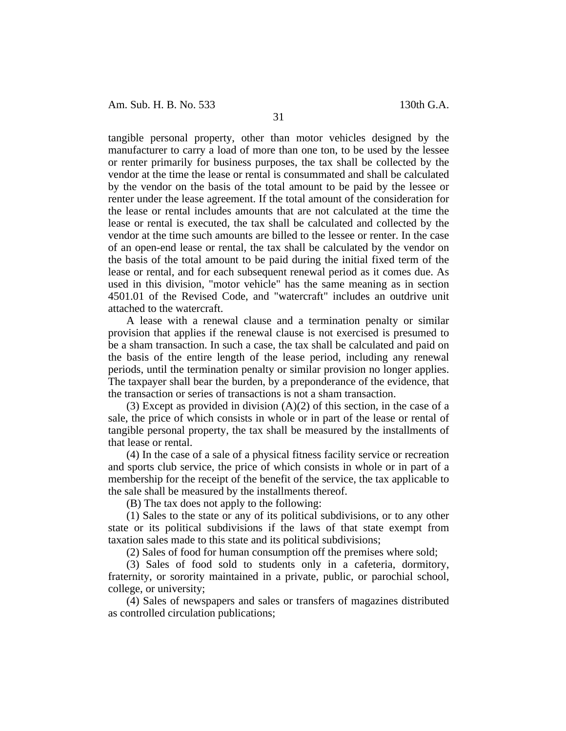Am. Sub. H. B. No. 533 130th G.A.

tangible personal property, other than motor vehicles designed by the manufacturer to carry a load of more than one ton, to be used by the lessee or renter primarily for business purposes, the tax shall be collected by the vendor at the time the lease or rental is consummated and shall be calculated by the vendor on the basis of the total amount to be paid by the lessee or renter under the lease agreement. If the total amount of the consideration for the lease or rental includes amounts that are not calculated at the time the lease or rental is executed, the tax shall be calculated and collected by the vendor at the time such amounts are billed to the lessee or renter. In the case of an open-end lease or rental, the tax shall be calculated by the vendor on the basis of the total amount to be paid during the initial fixed term of the lease or rental, and for each subsequent renewal period as it comes due. As used in this division, "motor vehicle" has the same meaning as in section 4501.01 of the Revised Code, and "watercraft" includes an outdrive unit attached to the watercraft.

A lease with a renewal clause and a termination penalty or similar provision that applies if the renewal clause is not exercised is presumed to be a sham transaction. In such a case, the tax shall be calculated and paid on the basis of the entire length of the lease period, including any renewal periods, until the termination penalty or similar provision no longer applies. The taxpayer shall bear the burden, by a preponderance of the evidence, that the transaction or series of transactions is not a sham transaction.

(3) Except as provided in division  $(A)(2)$  of this section, in the case of a sale, the price of which consists in whole or in part of the lease or rental of tangible personal property, the tax shall be measured by the installments of that lease or rental.

(4) In the case of a sale of a physical fitness facility service or recreation and sports club service, the price of which consists in whole or in part of a membership for the receipt of the benefit of the service, the tax applicable to the sale shall be measured by the installments thereof.

(B) The tax does not apply to the following:

(1) Sales to the state or any of its political subdivisions, or to any other state or its political subdivisions if the laws of that state exempt from taxation sales made to this state and its political subdivisions;

(2) Sales of food for human consumption off the premises where sold;

(3) Sales of food sold to students only in a cafeteria, dormitory, fraternity, or sorority maintained in a private, public, or parochial school, college, or university;

(4) Sales of newspapers and sales or transfers of magazines distributed as controlled circulation publications;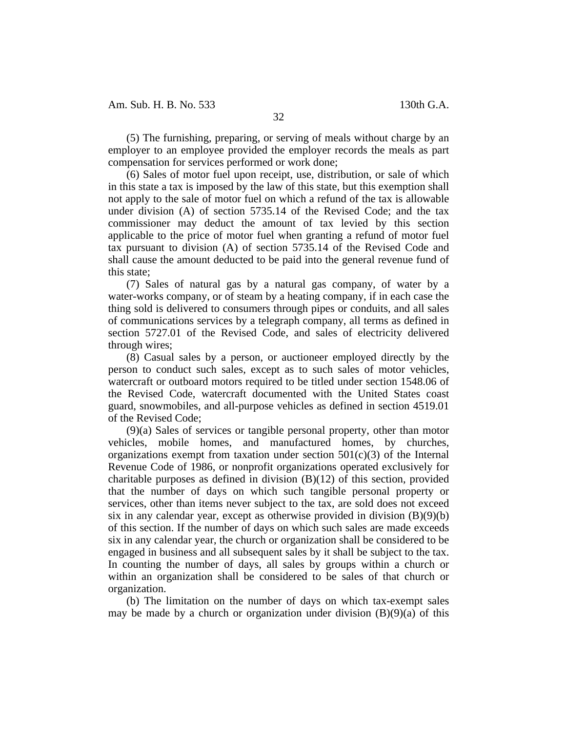(5) The furnishing, preparing, or serving of meals without charge by an employer to an employee provided the employer records the meals as part compensation for services performed or work done;

(6) Sales of motor fuel upon receipt, use, distribution, or sale of which in this state a tax is imposed by the law of this state, but this exemption shall not apply to the sale of motor fuel on which a refund of the tax is allowable under division (A) of section 5735.14 of the Revised Code; and the tax commissioner may deduct the amount of tax levied by this section applicable to the price of motor fuel when granting a refund of motor fuel tax pursuant to division (A) of section 5735.14 of the Revised Code and shall cause the amount deducted to be paid into the general revenue fund of this state;

(7) Sales of natural gas by a natural gas company, of water by a water-works company, or of steam by a heating company, if in each case the thing sold is delivered to consumers through pipes or conduits, and all sales of communications services by a telegraph company, all terms as defined in section 5727.01 of the Revised Code, and sales of electricity delivered through wires;

(8) Casual sales by a person, or auctioneer employed directly by the person to conduct such sales, except as to such sales of motor vehicles, watercraft or outboard motors required to be titled under section 1548.06 of the Revised Code, watercraft documented with the United States coast guard, snowmobiles, and all-purpose vehicles as defined in section 4519.01 of the Revised Code;

(9)(a) Sales of services or tangible personal property, other than motor vehicles, mobile homes, and manufactured homes, by churches, organizations exempt from taxation under section  $501(c)(3)$  of the Internal Revenue Code of 1986, or nonprofit organizations operated exclusively for charitable purposes as defined in division (B)(12) of this section, provided that the number of days on which such tangible personal property or services, other than items never subject to the tax, are sold does not exceed six in any calendar year, except as otherwise provided in division (B)(9)(b) of this section. If the number of days on which such sales are made exceeds six in any calendar year, the church or organization shall be considered to be engaged in business and all subsequent sales by it shall be subject to the tax. In counting the number of days, all sales by groups within a church or within an organization shall be considered to be sales of that church or organization.

(b) The limitation on the number of days on which tax-exempt sales may be made by a church or organization under division  $(B)(9)(a)$  of this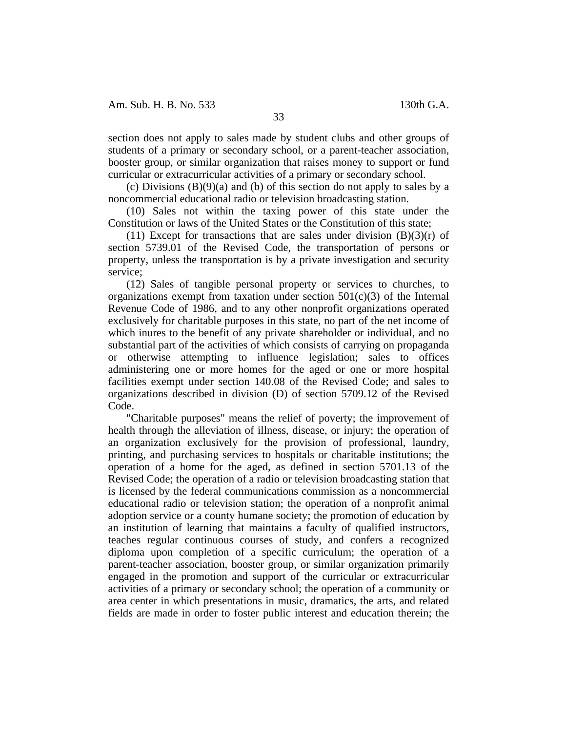section does not apply to sales made by student clubs and other groups of students of a primary or secondary school, or a parent-teacher association, booster group, or similar organization that raises money to support or fund curricular or extracurricular activities of a primary or secondary school.

(c) Divisions  $(B)(9)(a)$  and (b) of this section do not apply to sales by a noncommercial educational radio or television broadcasting station.

(10) Sales not within the taxing power of this state under the Constitution or laws of the United States or the Constitution of this state;

(11) Except for transactions that are sales under division  $(B)(3)(r)$  of section 5739.01 of the Revised Code, the transportation of persons or property, unless the transportation is by a private investigation and security service;

(12) Sales of tangible personal property or services to churches, to organizations exempt from taxation under section  $501(c)(3)$  of the Internal Revenue Code of 1986, and to any other nonprofit organizations operated exclusively for charitable purposes in this state, no part of the net income of which inures to the benefit of any private shareholder or individual, and no substantial part of the activities of which consists of carrying on propaganda or otherwise attempting to influence legislation; sales to offices administering one or more homes for the aged or one or more hospital facilities exempt under section 140.08 of the Revised Code; and sales to organizations described in division (D) of section 5709.12 of the Revised Code.

"Charitable purposes" means the relief of poverty; the improvement of health through the alleviation of illness, disease, or injury; the operation of an organization exclusively for the provision of professional, laundry, printing, and purchasing services to hospitals or charitable institutions; the operation of a home for the aged, as defined in section 5701.13 of the Revised Code; the operation of a radio or television broadcasting station that is licensed by the federal communications commission as a noncommercial educational radio or television station; the operation of a nonprofit animal adoption service or a county humane society; the promotion of education by an institution of learning that maintains a faculty of qualified instructors, teaches regular continuous courses of study, and confers a recognized diploma upon completion of a specific curriculum; the operation of a parent-teacher association, booster group, or similar organization primarily engaged in the promotion and support of the curricular or extracurricular activities of a primary or secondary school; the operation of a community or area center in which presentations in music, dramatics, the arts, and related fields are made in order to foster public interest and education therein; the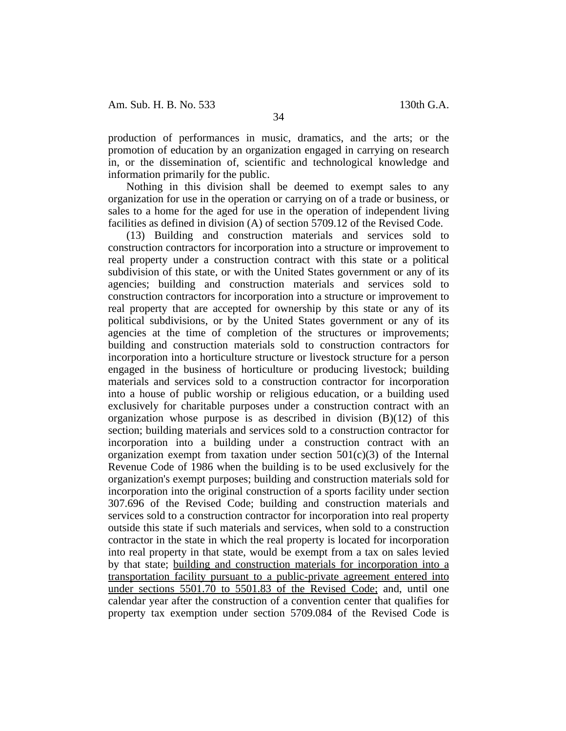production of performances in music, dramatics, and the arts; or the promotion of education by an organization engaged in carrying on research in, or the dissemination of, scientific and technological knowledge and information primarily for the public.

Nothing in this division shall be deemed to exempt sales to any organization for use in the operation or carrying on of a trade or business, or sales to a home for the aged for use in the operation of independent living facilities as defined in division (A) of section 5709.12 of the Revised Code.

(13) Building and construction materials and services sold to construction contractors for incorporation into a structure or improvement to real property under a construction contract with this state or a political subdivision of this state, or with the United States government or any of its agencies; building and construction materials and services sold to construction contractors for incorporation into a structure or improvement to real property that are accepted for ownership by this state or any of its political subdivisions, or by the United States government or any of its agencies at the time of completion of the structures or improvements; building and construction materials sold to construction contractors for incorporation into a horticulture structure or livestock structure for a person engaged in the business of horticulture or producing livestock; building materials and services sold to a construction contractor for incorporation into a house of public worship or religious education, or a building used exclusively for charitable purposes under a construction contract with an organization whose purpose is as described in division  $(B)(12)$  of this section; building materials and services sold to a construction contractor for incorporation into a building under a construction contract with an organization exempt from taxation under section  $501(c)(3)$  of the Internal Revenue Code of 1986 when the building is to be used exclusively for the organization's exempt purposes; building and construction materials sold for incorporation into the original construction of a sports facility under section 307.696 of the Revised Code; building and construction materials and services sold to a construction contractor for incorporation into real property outside this state if such materials and services, when sold to a construction contractor in the state in which the real property is located for incorporation into real property in that state, would be exempt from a tax on sales levied by that state; building and construction materials for incorporation into a transportation facility pursuant to a public-private agreement entered into under sections 5501.70 to 5501.83 of the Revised Code; and, until one calendar year after the construction of a convention center that qualifies for property tax exemption under section 5709.084 of the Revised Code is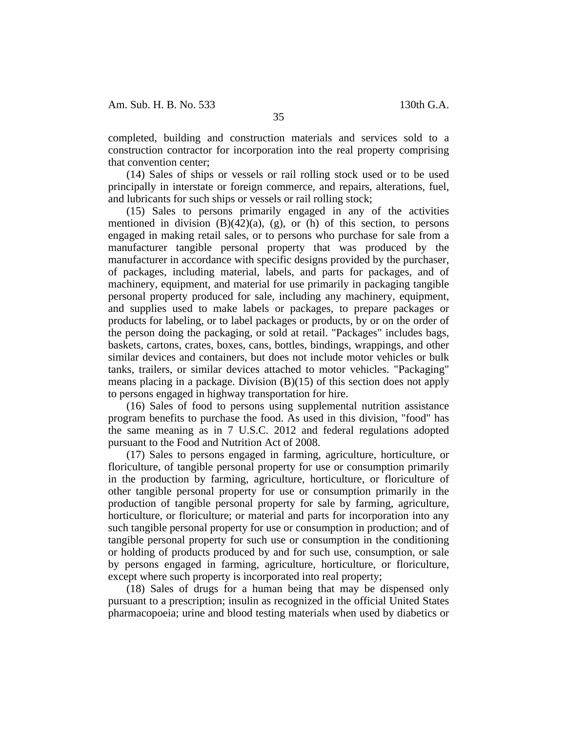completed, building and construction materials and services sold to a construction contractor for incorporation into the real property comprising that convention center;

(14) Sales of ships or vessels or rail rolling stock used or to be used principally in interstate or foreign commerce, and repairs, alterations, fuel, and lubricants for such ships or vessels or rail rolling stock;

(15) Sales to persons primarily engaged in any of the activities mentioned in division  $(B)(42)(a)$ ,  $(g)$ , or  $(h)$  of this section, to persons engaged in making retail sales, or to persons who purchase for sale from a manufacturer tangible personal property that was produced by the manufacturer in accordance with specific designs provided by the purchaser, of packages, including material, labels, and parts for packages, and of machinery, equipment, and material for use primarily in packaging tangible personal property produced for sale, including any machinery, equipment, and supplies used to make labels or packages, to prepare packages or products for labeling, or to label packages or products, by or on the order of the person doing the packaging, or sold at retail. "Packages" includes bags, baskets, cartons, crates, boxes, cans, bottles, bindings, wrappings, and other similar devices and containers, but does not include motor vehicles or bulk tanks, trailers, or similar devices attached to motor vehicles. "Packaging" means placing in a package. Division (B)(15) of this section does not apply to persons engaged in highway transportation for hire.

(16) Sales of food to persons using supplemental nutrition assistance program benefits to purchase the food. As used in this division, "food" has the same meaning as in 7 U.S.C. 2012 and federal regulations adopted pursuant to the Food and Nutrition Act of 2008.

(17) Sales to persons engaged in farming, agriculture, horticulture, or floriculture, of tangible personal property for use or consumption primarily in the production by farming, agriculture, horticulture, or floriculture of other tangible personal property for use or consumption primarily in the production of tangible personal property for sale by farming, agriculture, horticulture, or floriculture; or material and parts for incorporation into any such tangible personal property for use or consumption in production; and of tangible personal property for such use or consumption in the conditioning or holding of products produced by and for such use, consumption, or sale by persons engaged in farming, agriculture, horticulture, or floriculture, except where such property is incorporated into real property;

(18) Sales of drugs for a human being that may be dispensed only pursuant to a prescription; insulin as recognized in the official United States pharmacopoeia; urine and blood testing materials when used by diabetics or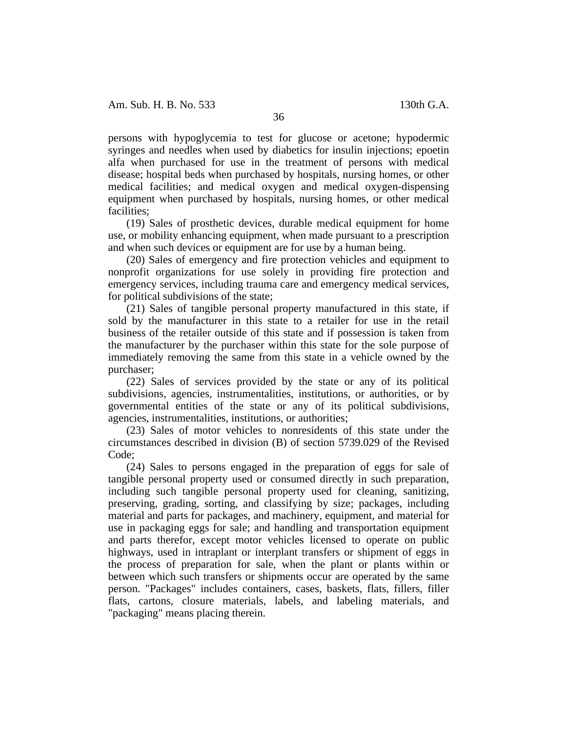persons with hypoglycemia to test for glucose or acetone; hypodermic syringes and needles when used by diabetics for insulin injections; epoetin alfa when purchased for use in the treatment of persons with medical disease; hospital beds when purchased by hospitals, nursing homes, or other medical facilities; and medical oxygen and medical oxygen-dispensing equipment when purchased by hospitals, nursing homes, or other medical facilities;

(19) Sales of prosthetic devices, durable medical equipment for home use, or mobility enhancing equipment, when made pursuant to a prescription and when such devices or equipment are for use by a human being.

(20) Sales of emergency and fire protection vehicles and equipment to nonprofit organizations for use solely in providing fire protection and emergency services, including trauma care and emergency medical services, for political subdivisions of the state;

(21) Sales of tangible personal property manufactured in this state, if sold by the manufacturer in this state to a retailer for use in the retail business of the retailer outside of this state and if possession is taken from the manufacturer by the purchaser within this state for the sole purpose of immediately removing the same from this state in a vehicle owned by the purchaser;

(22) Sales of services provided by the state or any of its political subdivisions, agencies, instrumentalities, institutions, or authorities, or by governmental entities of the state or any of its political subdivisions, agencies, instrumentalities, institutions, or authorities;

(23) Sales of motor vehicles to nonresidents of this state under the circumstances described in division (B) of section 5739.029 of the Revised Code;

(24) Sales to persons engaged in the preparation of eggs for sale of tangible personal property used or consumed directly in such preparation, including such tangible personal property used for cleaning, sanitizing, preserving, grading, sorting, and classifying by size; packages, including material and parts for packages, and machinery, equipment, and material for use in packaging eggs for sale; and handling and transportation equipment and parts therefor, except motor vehicles licensed to operate on public highways, used in intraplant or interplant transfers or shipment of eggs in the process of preparation for sale, when the plant or plants within or between which such transfers or shipments occur are operated by the same person. "Packages" includes containers, cases, baskets, flats, fillers, filler flats, cartons, closure materials, labels, and labeling materials, and "packaging" means placing therein.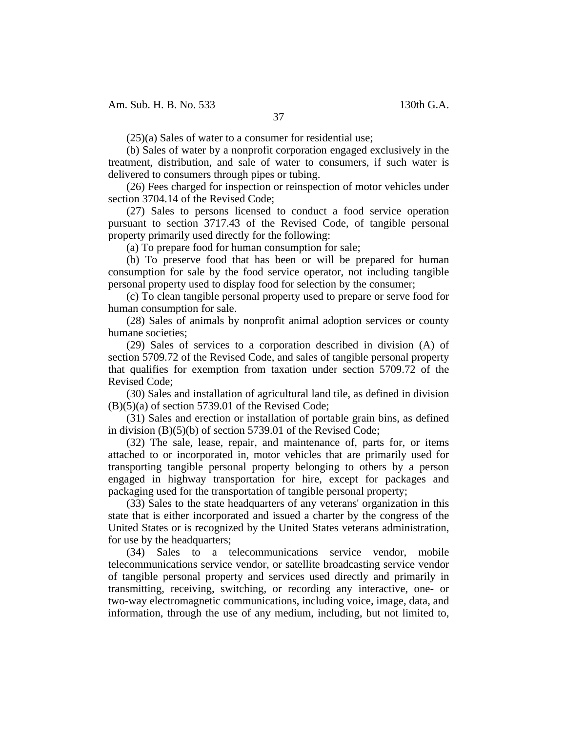(25)(a) Sales of water to a consumer for residential use;

(b) Sales of water by a nonprofit corporation engaged exclusively in the treatment, distribution, and sale of water to consumers, if such water is delivered to consumers through pipes or tubing.

(26) Fees charged for inspection or reinspection of motor vehicles under section 3704.14 of the Revised Code;

(27) Sales to persons licensed to conduct a food service operation pursuant to section 3717.43 of the Revised Code, of tangible personal property primarily used directly for the following:

(a) To prepare food for human consumption for sale;

(b) To preserve food that has been or will be prepared for human consumption for sale by the food service operator, not including tangible personal property used to display food for selection by the consumer;

(c) To clean tangible personal property used to prepare or serve food for human consumption for sale.

(28) Sales of animals by nonprofit animal adoption services or county humane societies;

(29) Sales of services to a corporation described in division (A) of section 5709.72 of the Revised Code, and sales of tangible personal property that qualifies for exemption from taxation under section 5709.72 of the Revised Code;

(30) Sales and installation of agricultural land tile, as defined in division  $(B)(5)(a)$  of section 5739.01 of the Revised Code;

(31) Sales and erection or installation of portable grain bins, as defined in division (B)(5)(b) of section 5739.01 of the Revised Code;

(32) The sale, lease, repair, and maintenance of, parts for, or items attached to or incorporated in, motor vehicles that are primarily used for transporting tangible personal property belonging to others by a person engaged in highway transportation for hire, except for packages and packaging used for the transportation of tangible personal property;

(33) Sales to the state headquarters of any veterans' organization in this state that is either incorporated and issued a charter by the congress of the United States or is recognized by the United States veterans administration, for use by the headquarters;

(34) Sales to a telecommunications service vendor, mobile telecommunications service vendor, or satellite broadcasting service vendor of tangible personal property and services used directly and primarily in transmitting, receiving, switching, or recording any interactive, one- or two-way electromagnetic communications, including voice, image, data, and information, through the use of any medium, including, but not limited to,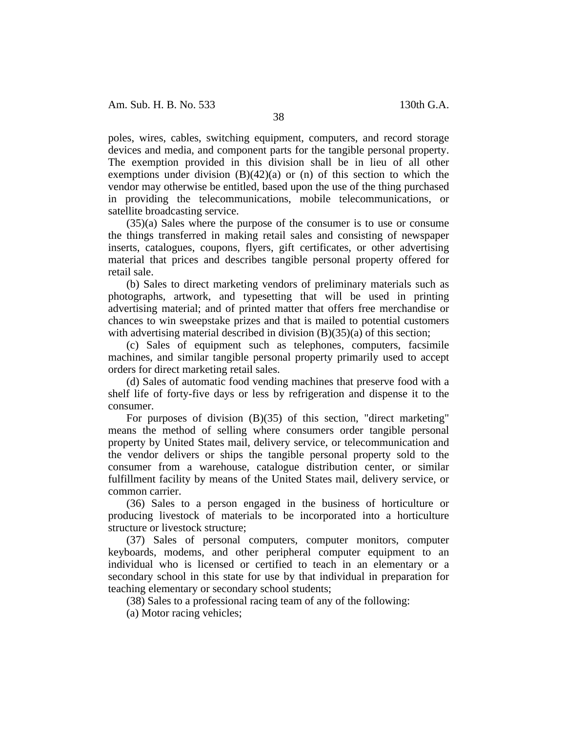poles, wires, cables, switching equipment, computers, and record storage devices and media, and component parts for the tangible personal property. The exemption provided in this division shall be in lieu of all other exemptions under division  $(B)(42)(a)$  or  $(n)$  of this section to which the vendor may otherwise be entitled, based upon the use of the thing purchased in providing the telecommunications, mobile telecommunications, or satellite broadcasting service.

(35)(a) Sales where the purpose of the consumer is to use or consume the things transferred in making retail sales and consisting of newspaper inserts, catalogues, coupons, flyers, gift certificates, or other advertising material that prices and describes tangible personal property offered for retail sale.

(b) Sales to direct marketing vendors of preliminary materials such as photographs, artwork, and typesetting that will be used in printing advertising material; and of printed matter that offers free merchandise or chances to win sweepstake prizes and that is mailed to potential customers with advertising material described in division  $(B)(35)(a)$  of this section;

(c) Sales of equipment such as telephones, computers, facsimile machines, and similar tangible personal property primarily used to accept orders for direct marketing retail sales.

(d) Sales of automatic food vending machines that preserve food with a shelf life of forty-five days or less by refrigeration and dispense it to the consumer.

For purposes of division (B)(35) of this section, "direct marketing" means the method of selling where consumers order tangible personal property by United States mail, delivery service, or telecommunication and the vendor delivers or ships the tangible personal property sold to the consumer from a warehouse, catalogue distribution center, or similar fulfillment facility by means of the United States mail, delivery service, or common carrier.

(36) Sales to a person engaged in the business of horticulture or producing livestock of materials to be incorporated into a horticulture structure or livestock structure;

(37) Sales of personal computers, computer monitors, computer keyboards, modems, and other peripheral computer equipment to an individual who is licensed or certified to teach in an elementary or a secondary school in this state for use by that individual in preparation for teaching elementary or secondary school students;

(38) Sales to a professional racing team of any of the following:

(a) Motor racing vehicles;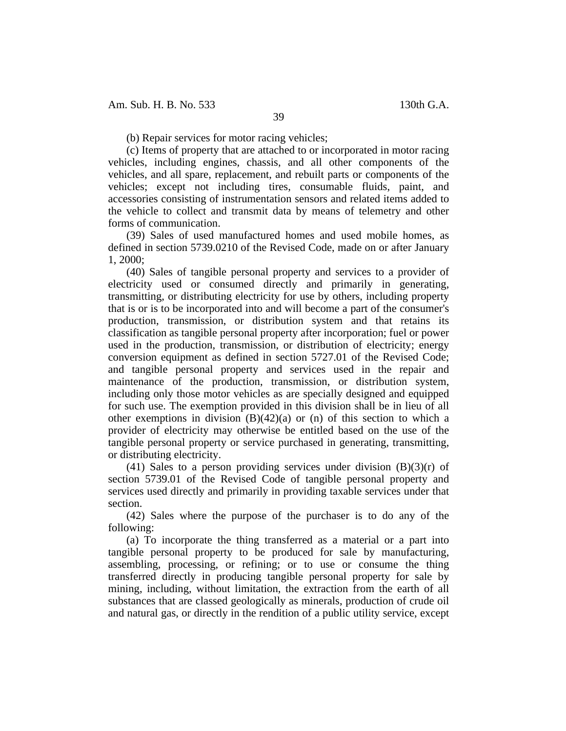(b) Repair services for motor racing vehicles;

(c) Items of property that are attached to or incorporated in motor racing vehicles, including engines, chassis, and all other components of the vehicles, and all spare, replacement, and rebuilt parts or components of the vehicles; except not including tires, consumable fluids, paint, and accessories consisting of instrumentation sensors and related items added to the vehicle to collect and transmit data by means of telemetry and other forms of communication.

(39) Sales of used manufactured homes and used mobile homes, as defined in section 5739.0210 of the Revised Code, made on or after January 1, 2000;

(40) Sales of tangible personal property and services to a provider of electricity used or consumed directly and primarily in generating, transmitting, or distributing electricity for use by others, including property that is or is to be incorporated into and will become a part of the consumer's production, transmission, or distribution system and that retains its classification as tangible personal property after incorporation; fuel or power used in the production, transmission, or distribution of electricity; energy conversion equipment as defined in section 5727.01 of the Revised Code; and tangible personal property and services used in the repair and maintenance of the production, transmission, or distribution system, including only those motor vehicles as are specially designed and equipped for such use. The exemption provided in this division shall be in lieu of all other exemptions in division  $(B)(42)(a)$  or  $(n)$  of this section to which a provider of electricity may otherwise be entitled based on the use of the tangible personal property or service purchased in generating, transmitting, or distributing electricity.

(41) Sales to a person providing services under division  $(B)(3)(r)$  of section 5739.01 of the Revised Code of tangible personal property and services used directly and primarily in providing taxable services under that section.

(42) Sales where the purpose of the purchaser is to do any of the following:

(a) To incorporate the thing transferred as a material or a part into tangible personal property to be produced for sale by manufacturing, assembling, processing, or refining; or to use or consume the thing transferred directly in producing tangible personal property for sale by mining, including, without limitation, the extraction from the earth of all substances that are classed geologically as minerals, production of crude oil and natural gas, or directly in the rendition of a public utility service, except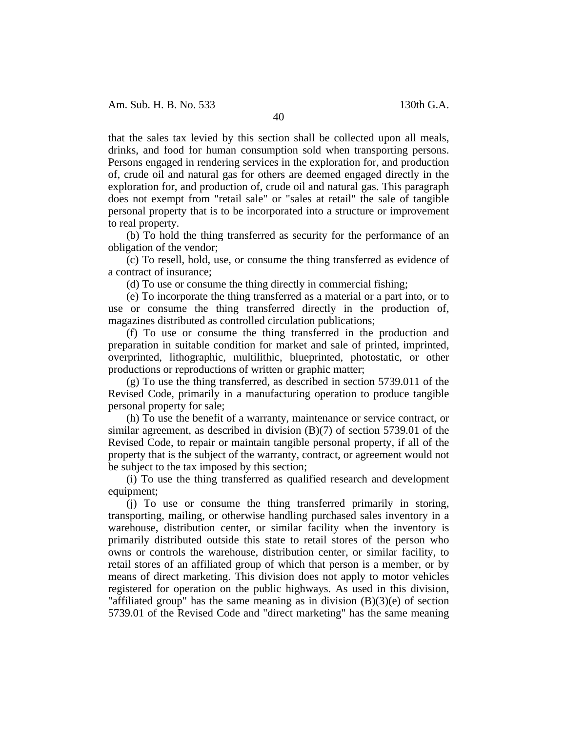that the sales tax levied by this section shall be collected upon all meals, drinks, and food for human consumption sold when transporting persons. Persons engaged in rendering services in the exploration for, and production of, crude oil and natural gas for others are deemed engaged directly in the exploration for, and production of, crude oil and natural gas. This paragraph does not exempt from "retail sale" or "sales at retail" the sale of tangible personal property that is to be incorporated into a structure or improvement to real property.

(b) To hold the thing transferred as security for the performance of an obligation of the vendor;

(c) To resell, hold, use, or consume the thing transferred as evidence of a contract of insurance;

(d) To use or consume the thing directly in commercial fishing;

(e) To incorporate the thing transferred as a material or a part into, or to use or consume the thing transferred directly in the production of, magazines distributed as controlled circulation publications;

(f) To use or consume the thing transferred in the production and preparation in suitable condition for market and sale of printed, imprinted, overprinted, lithographic, multilithic, blueprinted, photostatic, or other productions or reproductions of written or graphic matter;

(g) To use the thing transferred, as described in section 5739.011 of the Revised Code, primarily in a manufacturing operation to produce tangible personal property for sale;

(h) To use the benefit of a warranty, maintenance or service contract, or similar agreement, as described in division (B)(7) of section 5739.01 of the Revised Code, to repair or maintain tangible personal property, if all of the property that is the subject of the warranty, contract, or agreement would not be subject to the tax imposed by this section;

(i) To use the thing transferred as qualified research and development equipment;

(j) To use or consume the thing transferred primarily in storing, transporting, mailing, or otherwise handling purchased sales inventory in a warehouse, distribution center, or similar facility when the inventory is primarily distributed outside this state to retail stores of the person who owns or controls the warehouse, distribution center, or similar facility, to retail stores of an affiliated group of which that person is a member, or by means of direct marketing. This division does not apply to motor vehicles registered for operation on the public highways. As used in this division, "affiliated group" has the same meaning as in division  $(B)(3)(e)$  of section 5739.01 of the Revised Code and "direct marketing" has the same meaning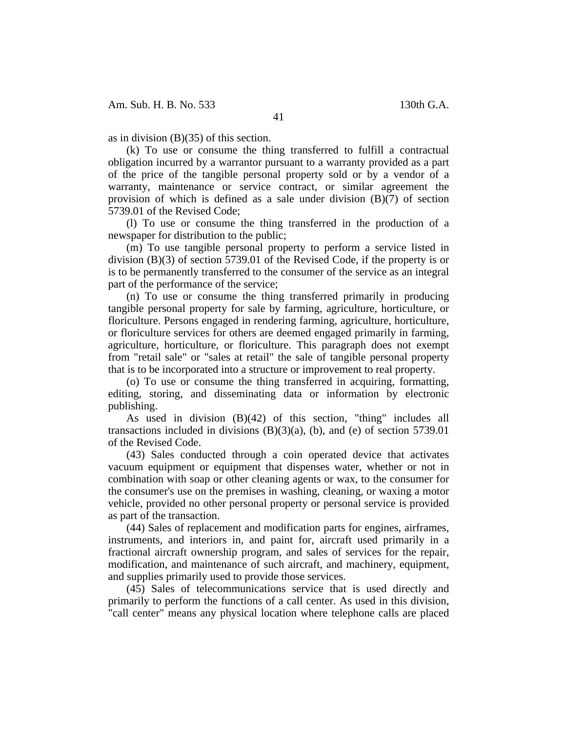as in division (B)(35) of this section.

(k) To use or consume the thing transferred to fulfill a contractual obligation incurred by a warrantor pursuant to a warranty provided as a part of the price of the tangible personal property sold or by a vendor of a warranty, maintenance or service contract, or similar agreement the provision of which is defined as a sale under division (B)(7) of section 5739.01 of the Revised Code;

(l) To use or consume the thing transferred in the production of a newspaper for distribution to the public;

(m) To use tangible personal property to perform a service listed in division (B)(3) of section 5739.01 of the Revised Code, if the property is or is to be permanently transferred to the consumer of the service as an integral part of the performance of the service;

(n) To use or consume the thing transferred primarily in producing tangible personal property for sale by farming, agriculture, horticulture, or floriculture. Persons engaged in rendering farming, agriculture, horticulture, or floriculture services for others are deemed engaged primarily in farming, agriculture, horticulture, or floriculture. This paragraph does not exempt from "retail sale" or "sales at retail" the sale of tangible personal property that is to be incorporated into a structure or improvement to real property.

(o) To use or consume the thing transferred in acquiring, formatting, editing, storing, and disseminating data or information by electronic publishing.

As used in division (B)(42) of this section, "thing" includes all transactions included in divisions  $(B)(3)(a)$ ,  $(b)$ , and  $(e)$  of section 5739.01 of the Revised Code.

(43) Sales conducted through a coin operated device that activates vacuum equipment or equipment that dispenses water, whether or not in combination with soap or other cleaning agents or wax, to the consumer for the consumer's use on the premises in washing, cleaning, or waxing a motor vehicle, provided no other personal property or personal service is provided as part of the transaction.

(44) Sales of replacement and modification parts for engines, airframes, instruments, and interiors in, and paint for, aircraft used primarily in a fractional aircraft ownership program, and sales of services for the repair, modification, and maintenance of such aircraft, and machinery, equipment, and supplies primarily used to provide those services.

(45) Sales of telecommunications service that is used directly and primarily to perform the functions of a call center. As used in this division, "call center" means any physical location where telephone calls are placed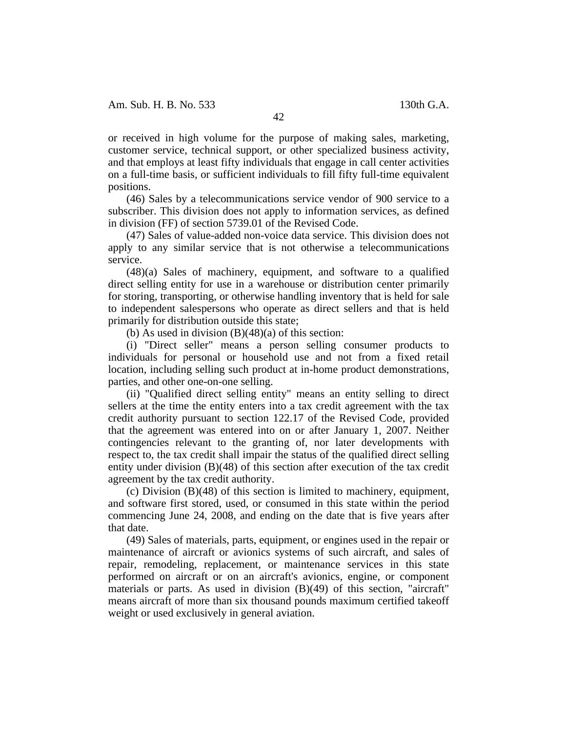or received in high volume for the purpose of making sales, marketing, customer service, technical support, or other specialized business activity, and that employs at least fifty individuals that engage in call center activities on a full-time basis, or sufficient individuals to fill fifty full-time equivalent positions.

(46) Sales by a telecommunications service vendor of 900 service to a subscriber. This division does not apply to information services, as defined in division (FF) of section 5739.01 of the Revised Code.

(47) Sales of value-added non-voice data service. This division does not apply to any similar service that is not otherwise a telecommunications service.

(48)(a) Sales of machinery, equipment, and software to a qualified direct selling entity for use in a warehouse or distribution center primarily for storing, transporting, or otherwise handling inventory that is held for sale to independent salespersons who operate as direct sellers and that is held primarily for distribution outside this state;

(b) As used in division  $(B)(48)(a)$  of this section:

(i) "Direct seller" means a person selling consumer products to individuals for personal or household use and not from a fixed retail location, including selling such product at in-home product demonstrations, parties, and other one-on-one selling.

(ii) "Qualified direct selling entity" means an entity selling to direct sellers at the time the entity enters into a tax credit agreement with the tax credit authority pursuant to section 122.17 of the Revised Code, provided that the agreement was entered into on or after January 1, 2007. Neither contingencies relevant to the granting of, nor later developments with respect to, the tax credit shall impair the status of the qualified direct selling entity under division (B)(48) of this section after execution of the tax credit agreement by the tax credit authority.

(c) Division (B)(48) of this section is limited to machinery, equipment, and software first stored, used, or consumed in this state within the period commencing June 24, 2008, and ending on the date that is five years after that date.

(49) Sales of materials, parts, equipment, or engines used in the repair or maintenance of aircraft or avionics systems of such aircraft, and sales of repair, remodeling, replacement, or maintenance services in this state performed on aircraft or on an aircraft's avionics, engine, or component materials or parts. As used in division (B)(49) of this section, "aircraft" means aircraft of more than six thousand pounds maximum certified takeoff weight or used exclusively in general aviation.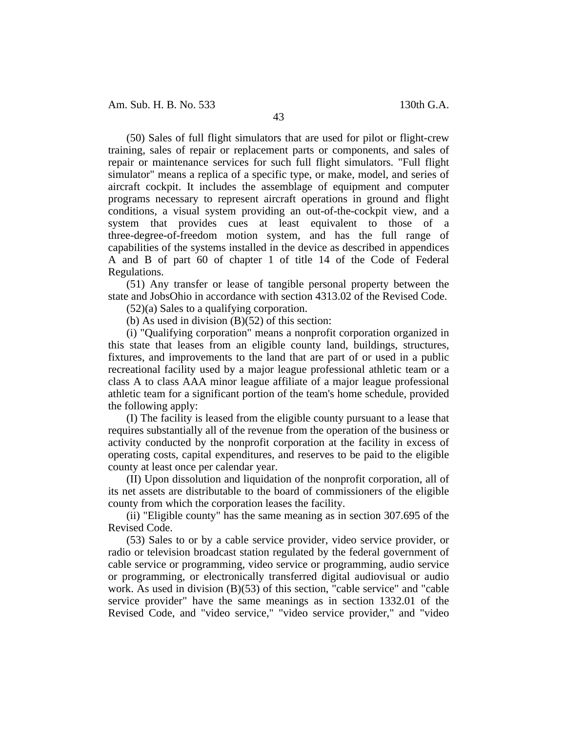Am. Sub. H. B. No. 533 130th G.A.

(50) Sales of full flight simulators that are used for pilot or flight-crew training, sales of repair or replacement parts or components, and sales of repair or maintenance services for such full flight simulators. "Full flight simulator" means a replica of a specific type, or make, model, and series of aircraft cockpit. It includes the assemblage of equipment and computer programs necessary to represent aircraft operations in ground and flight conditions, a visual system providing an out-of-the-cockpit view, and a system that provides cues at least equivalent to those of a three-degree-of-freedom motion system, and has the full range of capabilities of the systems installed in the device as described in appendices A and B of part 60 of chapter 1 of title 14 of the Code of Federal Regulations.

(51) Any transfer or lease of tangible personal property between the state and JobsOhio in accordance with section 4313.02 of the Revised Code.

(52)(a) Sales to a qualifying corporation.

(b) As used in division  $(B)(52)$  of this section:

(i) "Qualifying corporation" means a nonprofit corporation organized in this state that leases from an eligible county land, buildings, structures, fixtures, and improvements to the land that are part of or used in a public recreational facility used by a major league professional athletic team or a class A to class AAA minor league affiliate of a major league professional athletic team for a significant portion of the team's home schedule, provided the following apply:

(I) The facility is leased from the eligible county pursuant to a lease that requires substantially all of the revenue from the operation of the business or activity conducted by the nonprofit corporation at the facility in excess of operating costs, capital expenditures, and reserves to be paid to the eligible county at least once per calendar year.

(II) Upon dissolution and liquidation of the nonprofit corporation, all of its net assets are distributable to the board of commissioners of the eligible county from which the corporation leases the facility.

(ii) "Eligible county" has the same meaning as in section 307.695 of the Revised Code.

(53) Sales to or by a cable service provider, video service provider, or radio or television broadcast station regulated by the federal government of cable service or programming, video service or programming, audio service or programming, or electronically transferred digital audiovisual or audio work. As used in division (B)(53) of this section, "cable service" and "cable service provider" have the same meanings as in section 1332.01 of the Revised Code, and "video service," "video service provider," and "video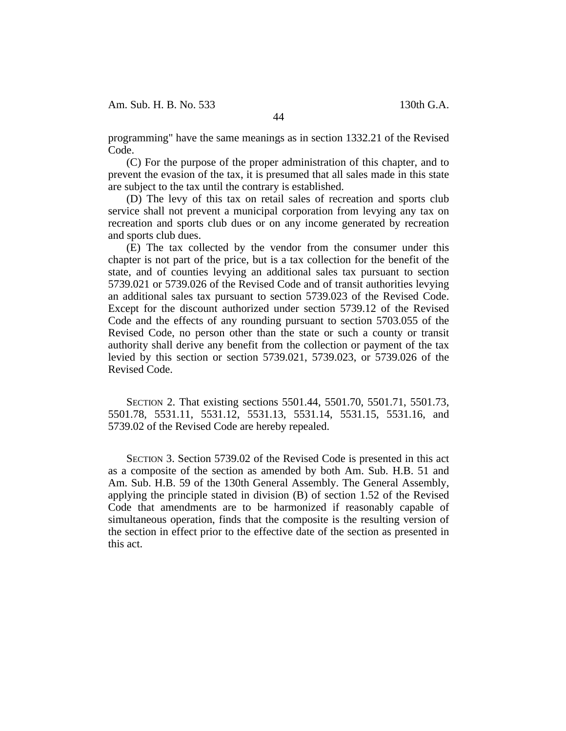Am. Sub. H. B. No. 533 130th G.A.

programming" have the same meanings as in section 1332.21 of the Revised Code.

(C) For the purpose of the proper administration of this chapter, and to prevent the evasion of the tax, it is presumed that all sales made in this state are subject to the tax until the contrary is established.

(D) The levy of this tax on retail sales of recreation and sports club service shall not prevent a municipal corporation from levying any tax on recreation and sports club dues or on any income generated by recreation and sports club dues.

(E) The tax collected by the vendor from the consumer under this chapter is not part of the price, but is a tax collection for the benefit of the state, and of counties levying an additional sales tax pursuant to section 5739.021 or 5739.026 of the Revised Code and of transit authorities levying an additional sales tax pursuant to section 5739.023 of the Revised Code. Except for the discount authorized under section 5739.12 of the Revised Code and the effects of any rounding pursuant to section 5703.055 of the Revised Code, no person other than the state or such a county or transit authority shall derive any benefit from the collection or payment of the tax levied by this section or section 5739.021, 5739.023, or 5739.026 of the Revised Code.

SECTION 2. That existing sections 5501.44, 5501.70, 5501.71, 5501.73, 5501.78, 5531.11, 5531.12, 5531.13, 5531.14, 5531.15, 5531.16, and 5739.02 of the Revised Code are hereby repealed.

SECTION 3. Section 5739.02 of the Revised Code is presented in this act as a composite of the section as amended by both Am. Sub. H.B. 51 and Am. Sub. H.B. 59 of the 130th General Assembly. The General Assembly, applying the principle stated in division (B) of section 1.52 of the Revised Code that amendments are to be harmonized if reasonably capable of simultaneous operation, finds that the composite is the resulting version of the section in effect prior to the effective date of the section as presented in this act.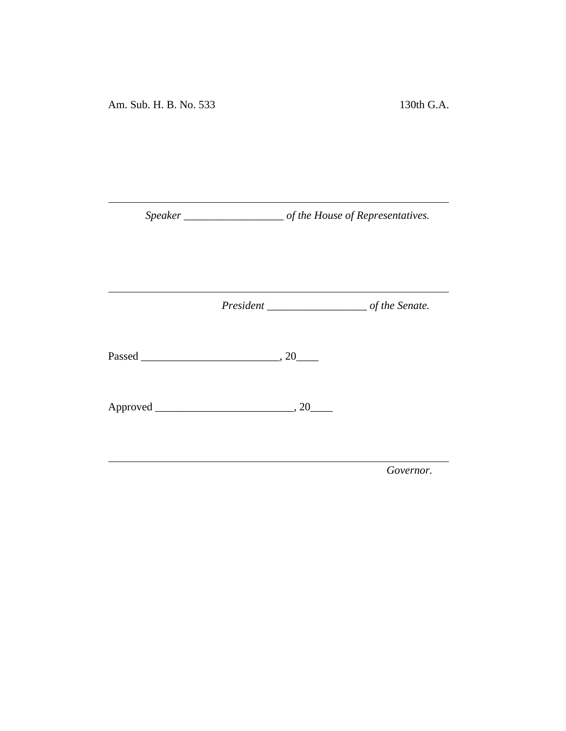*Speaker \_\_\_\_\_\_\_\_\_\_\_\_\_\_\_\_\_\_ of the House of Representatives.*

<u> 1980 - Johann Barbara, martxa a</u>

*President \_\_\_\_\_\_\_\_\_\_\_\_\_\_\_\_\_\_ of the Senate.*

<u> 1989 - Johann Barnett, fransk politiker (</u>

Passed \_\_\_\_\_\_\_\_\_\_\_\_\_\_\_\_\_\_\_\_\_\_\_\_\_, 20\_\_\_\_

Approved \_\_\_\_\_\_\_\_\_\_\_\_\_\_\_\_\_\_\_\_\_\_\_\_\_, 20\_\_\_\_

*Governor.*